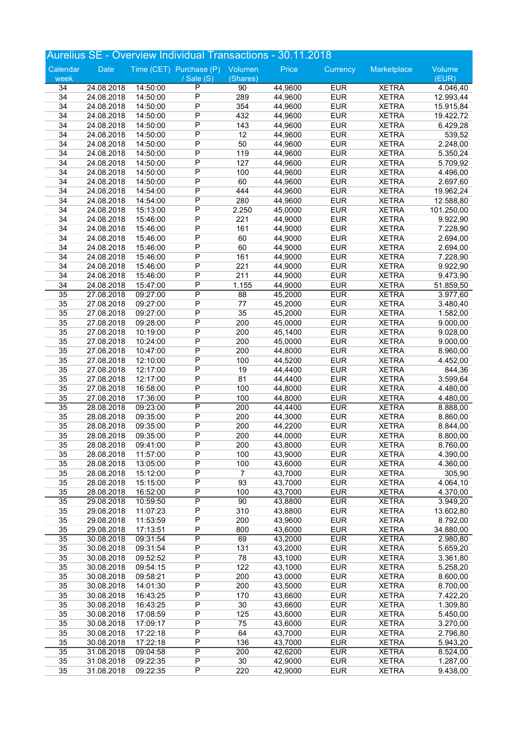|                       |                          |                      |                                  |                          | Aurelius SE - Overview Individual Transactions - 30.11.2018 |                          |                              |                       |
|-----------------------|--------------------------|----------------------|----------------------------------|--------------------------|-------------------------------------------------------------|--------------------------|------------------------------|-----------------------|
| Calendar              | Date                     |                      | Time (CET) Purchase (P)          | Volumen                  | Price                                                       | Currency                 | Marketplace                  | Volume                |
| week                  |                          |                      | / Sale (S)                       | (Shares)                 |                                                             |                          |                              | (EUR)                 |
| 34                    | 24.08.2018               | 14:50:00             | $\overline{P}$                   | 90                       | 44,9600                                                     | <b>EUR</b>               | <b>XETRA</b>                 | 4.046,40              |
| 34                    | 24.08.2018               | 14:50:00             | $\overline{P}$                   | 289                      | 44,9600                                                     | <b>EUR</b>               | <b>XETRA</b>                 | 12.993,44             |
| 34                    | 24.08.2018               | 14:50:00             | $\overline{P}$                   | 354                      | 44,9600                                                     | <b>EUR</b>               | <b>XETRA</b>                 | 15.915,84             |
| 34                    | 24.08.2018               | 14:50:00             | $\overline{P}$<br>$\overline{P}$ | 432                      | 44,9600                                                     | <b>EUR</b>               | <b>XETRA</b>                 | 19.422,72             |
| 34<br>34              | 24.08.2018               | 14:50:00<br>14:50:00 | $\overline{P}$                   | 143<br>12                | 44,9600<br>44,9600                                          | <b>EUR</b><br><b>EUR</b> | <b>XETRA</b><br><b>XETRA</b> | 6.429,28              |
| 34                    | 24.08.2018<br>24.08.2018 | 14:50:00             | $\overline{P}$                   | 50                       | 44,9600                                                     | <b>EUR</b>               | <b>XETRA</b>                 | 539,52<br>2.248,00    |
| 34                    | 24.08.2018               | 14:50:00             | $\overline{P}$                   | 119                      | 44,9600                                                     | <b>EUR</b>               | <b>XETRA</b>                 | 5.350,24              |
| 34                    | 24.08.2018               | 14:50:00             | $\overline{P}$                   | 127                      | 44,9600                                                     | <b>EUR</b>               | <b>XETRA</b>                 | 5.709,92              |
| 34                    | 24.08.2018               | 14:50:00             | P                                | 100                      | 44,9600                                                     | <b>EUR</b>               | <b>XETRA</b>                 | 4.496,00              |
| 34                    | 24.08.2018               | 14:50:00             | $\overline{P}$                   | 60                       | 44,9600                                                     | <b>EUR</b>               | <b>XETRA</b>                 | 2.697,60              |
| 34                    | 24.08.2018               | 14:54:00             | $\overline{P}$                   | 444                      | 44,9600                                                     | <b>EUR</b>               | <b>XETRA</b>                 | 19.962,24             |
| 34                    | 24.08.2018               | 14:54:00             | $\overline{P}$                   | 280                      | 44,9600                                                     | <b>EUR</b>               | <b>XETRA</b>                 | 12.588,80             |
| 34                    | 24.08.2018               | 15:13:00             | $\overline{P}$                   | 2.250                    | 45,0000                                                     | <b>EUR</b>               | <b>XETRA</b>                 | 101.250,00            |
| 34                    | 24.08.2018               | 15:46:00             | $\mathsf{P}$                     | 221                      | 44,9000                                                     | <b>EUR</b>               | <b>XETRA</b>                 | 9.922,90              |
| 34                    | 24.08.2018               | 15:46:00             | $\overline{P}$                   | 161                      | 44,9000                                                     | <b>EUR</b>               | <b>XETRA</b>                 | 7.228,90              |
| 34                    | 24.08.2018               | 15:46:00             | $\overline{P}$                   | 60                       | 44,9000                                                     | <b>EUR</b>               | <b>XETRA</b>                 | 2.694,00              |
| 34                    | 24.08.2018               | 15:46:00             | $\overline{P}$                   | 60                       | 44,9000                                                     | <b>EUR</b>               | <b>XETRA</b>                 | 2.694,00              |
| 34                    | 24.08.2018               | 15:46:00             | P                                | 161                      | 44,9000                                                     | <b>EUR</b>               | <b>XETRA</b>                 | 7.228,90              |
| 34                    | 24.08.2018               | 15:46:00             | $\mathsf{P}$                     | 221                      | 44,9000                                                     | <b>EUR</b>               | <b>XETRA</b>                 | 9.922,90              |
| 34                    | 24.08.2018               | 15:46:00             | $\overline{P}$<br>$\overline{P}$ | 211                      | 44,9000                                                     | <b>EUR</b>               | <b>XETRA</b>                 | 9.473,90              |
| 34<br>$\overline{35}$ | 24.08.2018<br>27.08.2018 | 15:47:00<br>09:27:00 | $\overline{\mathsf{P}}$          | 1.155<br>$\overline{88}$ | 44,9000<br>45,2000                                          | <b>EUR</b><br><b>EUR</b> | <b>XETRA</b><br><b>XETRA</b> | 51.859,50<br>3.977,60 |
| 35                    | 27.08.2018               | 09:27:00             | $\overline{P}$                   | 77                       | 45,2000                                                     | <b>EUR</b>               | <b>XETRA</b>                 | 3.480,40              |
| 35                    | 27.08.2018               | 09:27:00             | $\overline{P}$                   | 35                       | 45,2000                                                     | <b>EUR</b>               | <b>XETRA</b>                 | 1.582,00              |
| 35                    | 27.08.2018               | 09:28:00             | $\overline{P}$                   | 200                      | 45,0000                                                     | <b>EUR</b>               | <b>XETRA</b>                 | 9.000,00              |
| 35                    | 27.08.2018               | 10:19:00             | $\overline{P}$                   | 200                      | 45,1400                                                     | <b>EUR</b>               | <b>XETRA</b>                 | 9.028,00              |
| 35                    | 27.08.2018               | 10:24:00             | $\overline{P}$                   | 200                      | 45,0000                                                     | <b>EUR</b>               | <b>XETRA</b>                 | 9.000,00              |
| 35                    | 27.08.2018               | 10:47:00             | P                                | 200                      | 44,8000                                                     | <b>EUR</b>               | <b>XETRA</b>                 | 8.960,00              |
| 35                    | 27.08.2018               | 12:10:00             | P                                | 100                      | 44,5200                                                     | <b>EUR</b>               | <b>XETRA</b>                 | 4.452,00              |
| 35                    | 27.08.2018               | 12:17:00             | $\overline{P}$                   | 19                       | 44,4400                                                     | <b>EUR</b>               | <b>XETRA</b>                 | 844,36                |
| 35                    | 27.08.2018               | 12:17:00             | $\overline{P}$                   | 81                       | 44,4400                                                     | <b>EUR</b>               | <b>XETRA</b>                 | 3.599,64              |
| 35                    | 27.08.2018               | 16:58:00             | $\overline{P}$                   | 100                      | 44,8000                                                     | <b>EUR</b>               | <b>XETRA</b>                 | 4.480,00              |
| 35                    | 27.08.2018               | 17:36:00             | P                                | 100                      | 44,8000                                                     | <b>EUR</b>               | <b>XETRA</b>                 | 4.480,00              |
| $\overline{35}$       | 28.08.2018               | 09:23:00             | $\overline{P}$                   | 200                      | 44,4400                                                     | <b>EUR</b>               | <b>XETRA</b>                 | 8.888,00              |
| 35                    | 28.08.2018               | 09:35:00             | $\overline{P}$                   | 200                      | 44,3000                                                     | <b>EUR</b>               | <b>XETRA</b>                 | 8.860,00              |
| 35                    | 28.08.2018               | 09:35:00             | $\overline{P}$<br>$\overline{P}$ | 200                      | 44,2200                                                     | <b>EUR</b>               | <b>XETRA</b>                 | 8.844,00              |
| 35                    | 28.08.2018<br>28.08.2018 | 09:35:00<br>09:41:00 | P                                | 200<br>200               | 44,0000<br>43,8000                                          | <b>EUR</b><br><b>EUR</b> | <b>XETRA</b><br><b>XETRA</b> | 8.800,00              |
| 35<br>35              | 28.08.2018               | 11:57:00             | P                                | 100                      | 43,9000                                                     | <b>EUR</b>               | <b>XETRA</b>                 | 8.760,00<br>4.390,00  |
| 35                    | 28.08.2018               | 13:05:00             | $\overline{P}$                   | 100                      | 43,6000                                                     | <b>EUR</b>               | <b>XETRA</b>                 | 4.360,00              |
| 35                    | 28.08.2018               | 15:12:00             | $\overline{P}$                   | $\overline{7}$           | 43,7000                                                     | <b>EUR</b>               | <b>XETRA</b>                 | 305,90                |
| 35                    | 28.08.2018               | 15:15:00             | $\overline{P}$                   | 93                       | 43,7000                                                     | <b>EUR</b>               | <b>XETRA</b>                 | 4.064,10              |
| 35                    | 28.08.2018               | 16:52:00             | P                                | 100                      | 43,7000                                                     | <b>EUR</b>               | <b>XETRA</b>                 | 4.370,00              |
| $\overline{35}$       | 29.08.2018               | 10:59:50             | $\overline{P}$                   | 90                       | 43,8800                                                     | <b>EUR</b>               | <b>XETRA</b>                 | 3.949,20              |
| 35                    | 29.08.2018               | 11:07:23             | $\overline{P}$                   | 310                      | 43,8800                                                     | <b>EUR</b>               | <b>XETRA</b>                 | 13.602,80             |
| 35                    | 29.08.2018               | 11:53:59             | $\overline{P}$                   | 200                      | 43,9600                                                     | <b>EUR</b>               | <b>XETRA</b>                 | 8.792,00              |
| 35                    | 29.08.2018               | 17:13:51             | $\overline{P}$                   | 800                      | 43,6000                                                     | <b>EUR</b>               | <b>XETRA</b>                 | 34.880,00             |
| $\overline{35}$       | 30.08.2018               | 09:31:54             | $\overline{\mathsf{P}}$          | 69                       | 43,2000                                                     | <b>EUR</b>               | <b>XETRA</b>                 | 2.980,80              |
| 35                    | 30.08.2018               | 09:31:54             | P                                | 131                      | 43,2000                                                     | <b>EUR</b>               | <b>XETRA</b>                 | 5.659,20              |
| 35                    | 30.08.2018               | 09:52:52             | $\overline{P}$                   | 78                       | 43,1000                                                     | <b>EUR</b>               | <b>XETRA</b>                 | 3.361,80              |
| 35                    | 30.08.2018               | 09:54:15             | $\overline{P}$                   | 122                      | 43,1000                                                     | <b>EUR</b>               | <b>XETRA</b>                 | 5.258,20              |
| 35                    | 30.08.2018               | 09:58:21             | $\overline{P}$                   | 200                      | 43,0000                                                     | <b>EUR</b>               | <b>XETRA</b>                 | 8.600,00              |
| 35                    | 30.08.2018               | 14:01:30             | P                                | 200                      | 43,5000                                                     | <b>EUR</b>               | <b>XETRA</b>                 | 8.700,00              |
| 35<br>35              | 30.08.2018<br>30.08.2018 | 16:43:25<br>16:43:25 | P<br>$\overline{P}$              | 170<br>30                | 43,6600<br>43,6600                                          | <b>EUR</b><br><b>EUR</b> | <b>XETRA</b><br><b>XETRA</b> | 7.422,20              |
| 35                    | 30.08.2018               | 17:08:59             | $\overline{P}$                   | 125                      | 43,6000                                                     | <b>EUR</b>               | <b>XETRA</b>                 | 1.309,80<br>5.450,00  |
| 35                    | 30.08.2018               | 17:09:17             | $\overline{P}$                   | 75                       | 43,6000                                                     | <b>EUR</b>               | <b>XETRA</b>                 | 3.270,00              |
| 35                    | 30.08.2018               | 17:22:18             | P                                | 64                       | 43,7000                                                     | <b>EUR</b>               | <b>XETRA</b>                 | 2.796,80              |
| 35                    | 30.08.2018               | 17:22:18             | P                                | 136                      | 43,7000                                                     | <b>EUR</b>               | <b>XETRA</b>                 | 5.943,20              |
| $\overline{35}$       | 31.08.2018               | 09:04:58             | $\overline{P}$                   | 200                      | 42,6200                                                     | <b>EUR</b>               | <b>XETRA</b>                 | 8.524,00              |
| 35                    | 31.08.2018               | 09:22:35             | $\overline{P}$                   | 30                       | 42,9000                                                     | <b>EUR</b>               | <b>XETRA</b>                 | 1.287,00              |
| 35                    | 31.08.2018               | 09:22:35             | $\overline{P}$                   | 220                      | 42,9000                                                     | <b>EUR</b>               | <b>XETRA</b>                 | 9.438,00              |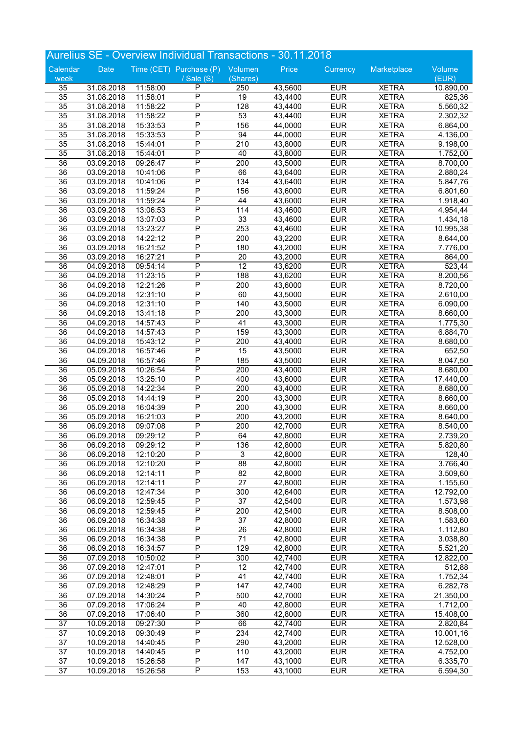|                       |                          |                      | Aurelius SE - Overview Individual Transactions - 30.11.2018 |                         |                    |                          |                              |                       |
|-----------------------|--------------------------|----------------------|-------------------------------------------------------------|-------------------------|--------------------|--------------------------|------------------------------|-----------------------|
| Calendar              | Date                     |                      | Time (CET) Purchase (P)                                     | Volumen                 | Price              | Currency                 | Marketplace                  | Volume                |
| week                  |                          |                      | / Sale (S)                                                  | (Shares)                |                    |                          |                              | (EUR)                 |
| 35                    | 31.08.2018               | 11:58:00             | P                                                           | 250                     | 43,5600            | <b>EUR</b>               | <b>XETRA</b>                 | 10.890,00             |
| 35                    | 31.08.2018               | 11:58:01             | $\overline{P}$                                              | 19                      | 43,4400            | <b>EUR</b>               | <b>XETRA</b>                 | 825,36                |
| 35                    | 31.08.2018               | 11:58:22             | $\overline{P}$                                              | 128                     | 43,4400            | <b>EUR</b>               | <b>XETRA</b>                 | 5.560,32              |
| 35                    | 31.08.2018               | 11:58:22             | $\overline{P}$                                              | 53                      | 43,4400            | <b>EUR</b>               | <b>XETRA</b>                 | 2.302,32              |
| 35                    | 31.08.2018               | 15:33:53             | $\overline{P}$                                              | 156                     | 44,0000            | <b>EUR</b>               | <b>XETRA</b>                 | 6.864,00              |
| 35<br>35              | 31.08.2018<br>31.08.2018 | 15:33:53<br>15:44:01 | $\overline{P}$<br>$\overline{P}$                            | 94<br>210               | 44,0000<br>43,8000 | <b>EUR</b><br><b>EUR</b> | <b>XETRA</b><br><b>XETRA</b> | 4.136,00<br>9.198,00  |
| 35                    | 31.08.2018               | 15:44:01             | $\overline{P}$                                              | 40                      | 43,8000            | <b>EUR</b>               | <b>XETRA</b>                 | 1.752,00              |
| $\overline{36}$       | 03.09.2018               | 09:26:47             | $\overline{P}$                                              | 200                     | 43,5000            | <b>EUR</b>               | <b>XETRA</b>                 | 8.700,00              |
| 36                    | 03.09.2018               | 10:41:06             | $\overline{P}$                                              | 66                      | 43,6400            | <b>EUR</b>               | <b>XETRA</b>                 | 2.880,24              |
| 36                    | 03.09.2018               | 10:41:06             | $\overline{P}$                                              | 134                     | 43,6400            | <b>EUR</b>               | <b>XETRA</b>                 | 5.847,76              |
| 36                    | 03.09.2018               | 11:59:24             | $\overline{P}$                                              | 156                     | 43,6000            | <b>EUR</b>               | <b>XETRA</b>                 | 6.801,60              |
| 36                    | 03.09.2018               | 11:59:24             | $\overline{P}$                                              | 44                      | 43,6000            | <b>EUR</b>               | <b>XETRA</b>                 | 1.918,40              |
| 36                    | 03.09.2018               | 13:06:53             | $\overline{P}$                                              | 114                     | 43,4600            | <b>EUR</b>               | <b>XETRA</b>                 | 4.954,44              |
| 36                    | 03.09.2018               | 13:07:03             | $\overline{P}$                                              | 33                      | 43,4600            | <b>EUR</b>               | <b>XETRA</b>                 | 1.434,18              |
| 36                    | 03.09.2018               | 13:23:27             | $\overline{P}$                                              | 253                     | 43,4600            | <b>EUR</b>               | <b>XETRA</b>                 | 10.995,38             |
| 36                    | 03.09.2018               | 14:22:12             | $\overline{P}$                                              | 200                     | 43,2200            | <b>EUR</b>               | <b>XETRA</b>                 | 8.644,00              |
| 36                    | 03.09.2018               | 16:21:52             | $\overline{P}$                                              | 180                     | 43,2000            | <b>EUR</b>               | <b>XETRA</b>                 | 7.776,00              |
| 36                    | 03.09.2018               | 16:27:21             | $\overline{P}$                                              | 20                      | 43,2000            | <b>EUR</b>               | <b>XETRA</b>                 | 864,00                |
| 36                    | 04.09.2018               | 09:54:14             | $\overline{P}$<br>$\overline{P}$                            | 12                      | 43,6200            | <b>EUR</b>               | <b>XETRA</b>                 | 523,44                |
| 36<br>36              | 04.09.2018<br>04.09.2018 | 11:23:15<br>12:21:26 | $\overline{P}$                                              | 188<br>200              | 43,6200<br>43,6000 | <b>EUR</b><br><b>EUR</b> | <b>XETRA</b><br><b>XETRA</b> | 8.200,56<br>8.720,00  |
| 36                    | 04.09.2018               | 12:31:10             | $\overline{P}$                                              | 60                      | 43,5000            | <b>EUR</b>               | <b>XETRA</b>                 | 2.610,00              |
| 36                    | 04.09.2018               | 12:31:10             | $\overline{P}$                                              | 140                     | 43,5000            | <b>EUR</b>               | <b>XETRA</b>                 | 6.090,00              |
| 36                    | 04.09.2018               | 13:41:18             | $\overline{P}$                                              | 200                     | 43,3000            | <b>EUR</b>               | <b>XETRA</b>                 | 8.660,00              |
| 36                    | 04.09.2018               | 14:57:43             | $\overline{P}$                                              | 41                      | 43,3000            | <b>EUR</b>               | <b>XETRA</b>                 | 1.775,30              |
| 36                    | 04.09.2018               | 14:57:43             | $\overline{P}$                                              | 159                     | 43,3000            | <b>EUR</b>               | <b>XETRA</b>                 | 6.884,70              |
| 36                    | 04.09.2018               | 15:43:12             | $\overline{P}$                                              | 200                     | 43,4000            | <b>EUR</b>               | <b>XETRA</b>                 | 8.680,00              |
| 36                    | 04.09.2018               | 16:57:46             | $\overline{P}$                                              | 15                      | 43,5000            | <b>EUR</b>               | <b>XETRA</b>                 | 652,50                |
| 36                    | 04.09.2018               | 16:57:46             | $\overline{P}$                                              | 185                     | 43,5000            | <b>EUR</b>               | <b>XETRA</b>                 | 8.047,50              |
| $\overline{36}$       | 05.09.2018               | 10:26:54             | $\overline{\mathsf{P}}$                                     | $\overline{200}$        | 43,4000            | <b>EUR</b>               | <b>XETRA</b>                 | 8.680,00              |
| 36                    | 05.09.2018               | 13:25:10             | $\overline{P}$                                              | 400                     | 43,6000            | <b>EUR</b>               | <b>XETRA</b>                 | 17.440,00             |
| 36                    | 05.09.2018               | 14:22:34             | $\overline{P}$                                              | 200                     | 43,4000            | <b>EUR</b>               | <b>XETRA</b>                 | 8.680,00              |
| 36                    | 05.09.2018               | 14:44:19             | $\overline{P}$                                              | 200                     | 43,3000            | <b>EUR</b>               | <b>XETRA</b>                 | 8.660,00              |
| 36                    | 05.09.2018               | 16:04:39             | $\overline{P}$<br>$\overline{P}$                            | 200                     | 43,3000            | <b>EUR</b>               | <b>XETRA</b>                 | 8.660,00              |
| 36<br>$\overline{36}$ | 05.09.2018<br>06.09.2018 | 16:21:03<br>09:07:08 | $\overline{\mathsf{P}}$                                     | 200<br>$\overline{200}$ | 43,2000<br>42,7000 | <b>EUR</b><br><b>EUR</b> | <b>XETRA</b><br><b>XETRA</b> | 8.640,00<br>8.540,00  |
| 36                    | 06.09.2018               | 09:29:12             | $\overline{P}$                                              | 64                      | 42,8000            | <b>EUR</b>               | <b>XETRA</b>                 | 2.739,20              |
| 36                    | 06.09.2018               | 09:29:12             | P                                                           | 136                     | 42,8000            | <b>EUR</b>               | <b>XETRA</b>                 | 5.820,80              |
| 36                    | 06.09.2018               | 12:10:20             | P                                                           | $\overline{3}$          | 42,8000            | <b>EUR</b>               | <b>XETRA</b>                 | 128,40                |
| 36                    | 06.09.2018               | 12:10:20             | $\overline{P}$                                              | 88                      | 42,8000            | <b>EUR</b>               | <b>XETRA</b>                 | 3.766,40              |
| 36                    | 06.09.2018               | 12:14:11             | P                                                           | 82                      | 42,8000            | <b>EUR</b>               | <b>XETRA</b>                 | 3.509,60              |
| 36                    | 06.09.2018               | 12:14:11             | $\overline{P}$                                              | $\overline{27}$         | 42,8000            | <b>EUR</b>               | <b>XETRA</b>                 | 1.155,60              |
| 36                    | 06.09.2018               | 12:47:34             | P                                                           | 300                     | 42,6400            | <b>EUR</b>               | <b>XETRA</b>                 | 12.792,00             |
| 36                    | 06.09.2018               | 12:59:45             | P                                                           | 37                      | 42,5400            | <b>EUR</b>               | <b>XETRA</b>                 | 1.573,98              |
| 36                    | 06.09.2018               | 12:59:45             | $\overline{P}$                                              | 200                     | 42,5400            | <b>EUR</b>               | <b>XETRA</b>                 | 8.508,00              |
| 36                    | 06.09.2018               | 16:34:38             | $\overline{P}$                                              | 37                      | 42,8000            | <b>EUR</b>               | <b>XETRA</b>                 | 1.583,60              |
| 36                    | 06.09.2018               | 16:34:38             | $\overline{P}$                                              | 26                      | 42,8000            | <b>EUR</b>               | <b>XETRA</b>                 | 1.112,80              |
| 36<br>36              | 06.09.2018               | 16:34:38<br>16:34:57 | $\overline{P}$<br>P                                         | 71<br>129               | 42,8000<br>42,8000 | <b>EUR</b><br><b>EUR</b> | <b>XETRA</b><br><b>XETRA</b> | 3.038,80              |
| $\overline{36}$       | 06.09.2018<br>07.09.2018 | 10:50:02             | $\overline{P}$                                              | 300                     | 42,7400            | <b>EUR</b>               | <b>XETRA</b>                 | 5.521,20<br>12.822,00 |
| 36                    | 07.09.2018               | 12:47:01             | $\overline{P}$                                              | 12                      | 42,7400            | <b>EUR</b>               | <b>XETRA</b>                 | 512,88                |
| 36                    | 07.09.2018               | 12:48:01             | $\overline{P}$                                              | 41                      | 42,7400            | <b>EUR</b>               | <b>XETRA</b>                 | 1.752,34              |
| 36                    | 07.09.2018               | 12:48:29             | P                                                           | 147                     | 42,7400            | <b>EUR</b>               | <b>XETRA</b>                 | 6.282,78              |
| 36                    | 07.09.2018               | 14:30:24             | P                                                           | 500                     | 42,7000            | <b>EUR</b>               | <b>XETRA</b>                 | 21.350,00             |
| 36                    | 07.09.2018               | 17:06:24             | $\overline{P}$                                              | 40                      | 42,8000            | <b>EUR</b>               | <b>XETRA</b>                 | 1.712,00              |
| 36                    | 07.09.2018               | 17:06:40             | $\overline{P}$                                              | 360                     | 42,8000            | <b>EUR</b>               | <b>XETRA</b>                 | 15.408,00             |
| $\overline{37}$       | 10.09.2018               | 09:27:30             | $\overline{\mathsf{P}}$                                     | 66                      | 42,7400            | <b>EUR</b>               | <b>XETRA</b>                 | 2.820,84              |
| 37                    | 10.09.2018               | 09:30:49             | P                                                           | 234                     | 42,7400            | <b>EUR</b>               | <b>XETRA</b>                 | 10.001,16             |
| 37                    | 10.09.2018               | 14:40:45             | P                                                           | 290                     | 43,2000            | <b>EUR</b>               | <b>XETRA</b>                 | 12.528,00             |
| 37                    | 10.09.2018               | 14:40:45             | P                                                           | 110                     | 43,2000            | <b>EUR</b>               | <b>XETRA</b>                 | 4.752,00              |
| 37                    | 10.09.2018               | 15:26:58             | $\overline{P}$                                              | 147                     | 43,1000            | <b>EUR</b>               | <b>XETRA</b>                 | 6.335,70              |
| 37                    | 10.09.2018               | 15:26:58             | $\overline{P}$                                              | 153                     | 43,1000            | <b>EUR</b>               | <b>XETRA</b>                 | 6.594,30              |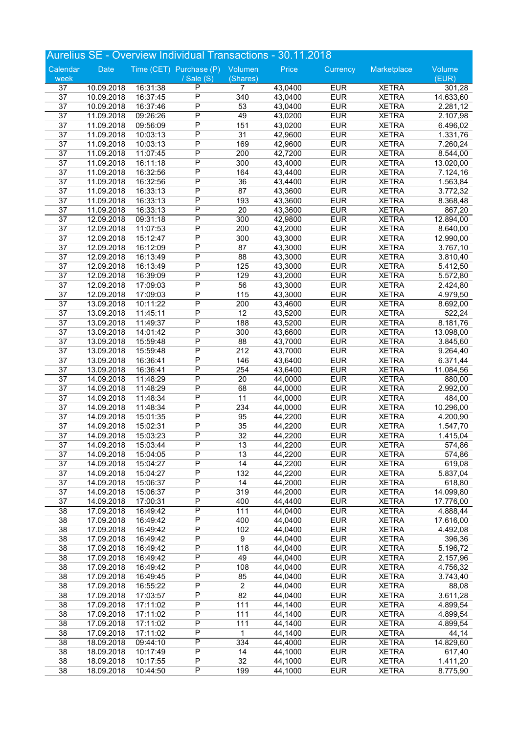|                 |                          |                      | Aurelius SE - Overview Individual Transactions - 30.11.2018 |                  |                    |                          |                              |                      |
|-----------------|--------------------------|----------------------|-------------------------------------------------------------|------------------|--------------------|--------------------------|------------------------------|----------------------|
| Calendar        | Date                     |                      | Time (CET) Purchase (P)                                     | Volumen          | Price              | Currency                 | Marketplace                  | Volume               |
| week            |                          |                      | / Sale $(S)$                                                | (Shares)         |                    |                          |                              | (EUR)                |
| 37              | 10.09.2018               | 16:31:38             | P                                                           | 7                | 43,0400            | <b>EUR</b>               | <b>XETRA</b>                 | 301,28               |
| $\overline{37}$ | 10.09.2018               | 16:37:45             | $\overline{P}$                                              | 340              | 43,0400            | <b>EUR</b>               | <b>XETRA</b>                 | 14.633,60            |
| 37              | 10.09.2018               | 16:37:46             | $\overline{P}$                                              | 53               | 43,0400            | <b>EUR</b>               | <b>XETRA</b>                 | 2.281,12             |
| $\overline{37}$ | 11.09.2018               | 09:26:26             | $\overline{\mathsf{P}}$                                     | 49               | 43,0200            | <b>EUR</b>               | <b>XETRA</b>                 | 2.107,98             |
| 37              | 11.09.2018               | 09:56:09             | $\overline{P}$<br>$\overline{P}$                            | 151              | 43,0200            | <b>EUR</b>               | <b>XETRA</b>                 | 6.496,02             |
| 37<br>37        | 11.09.2018<br>11.09.2018 | 10:03:13<br>10:03:13 | $\overline{P}$                                              | 31<br>169        | 42,9600<br>42,9600 | <b>EUR</b><br><b>EUR</b> | <b>XETRA</b><br><b>XETRA</b> | 1.331,76             |
| 37              | 11.09.2018               | 11:07:45             | $\overline{P}$                                              | 200              | 42,7200            | <b>EUR</b>               | <b>XETRA</b>                 | 7.260,24<br>8.544,00 |
| 37              | 11.09.2018               | 16:11:18             | $\overline{P}$                                              | 300              | 43,4000            | <b>EUR</b>               | <b>XETRA</b>                 | 13.020,00            |
| 37              | 11.09.2018               | 16:32:56             | $\overline{P}$                                              | 164              | 43,4400            | <b>EUR</b>               | <b>XETRA</b>                 | 7.124,16             |
| 37              | 11.09.2018               | 16:32:56             | $\overline{P}$                                              | 36               | 43,4400            | <b>EUR</b>               | <b>XETRA</b>                 | 1.563,84             |
| 37              | 11.09.2018               | 16:33:13             | $\overline{P}$                                              | 87               | 43,3600            | <b>EUR</b>               | <b>XETRA</b>                 | 3.772,32             |
| 37              | 11.09.2018               | 16:33:13             | $\overline{P}$                                              | 193              | 43,3600            | <b>EUR</b>               | <b>XETRA</b>                 | 8.368,48             |
| 37              | 11.09.2018               | 16:33:13             | $\overline{P}$                                              | 20               | 43,3600            | <b>EUR</b>               | <b>XETRA</b>                 | 867,20               |
| $\overline{37}$ | 12.09.2018               | 09:31:18             | $\overline{P}$                                              | 300              | 42,9800            | <b>EUR</b>               | <b>XETRA</b>                 | 12.894,00            |
| 37              | 12.09.2018               | 11:07:53             | $\overline{P}$                                              | 200              | 43,2000            | <b>EUR</b>               | <b>XETRA</b>                 | 8.640,00             |
| 37              | 12.09.2018               | 15:12:47             | $\overline{P}$                                              | 300              | 43,3000            | <b>EUR</b>               | <b>XETRA</b>                 | 12.990,00            |
| 37              | 12.09.2018               | 16:12:09             | $\overline{P}$                                              | 87               | 43,3000            | <b>EUR</b>               | <b>XETRA</b>                 | 3.767,10             |
| 37              | 12.09.2018               | 16:13:49             | $\overline{P}$                                              | 88               | 43,3000            | <b>EUR</b>               | <b>XETRA</b>                 | 3.810,40             |
| 37              | 12.09.2018               | 16:13:49             | $\overline{P}$                                              | 125              | 43,3000            | <b>EUR</b>               | <b>XETRA</b>                 | 5.412,50             |
| 37              | 12.09.2018               | 16:39:09             | $\overline{P}$                                              | 129              | 43,2000            | <b>EUR</b>               | <b>XETRA</b>                 | 5.572,80             |
| 37              | 12.09.2018               | 17:09:03             | $\overline{P}$                                              | 56               | 43,3000            | <b>EUR</b>               | <b>XETRA</b>                 | 2.424,80             |
| 37              | 12.09.2018               | 17:09:03             | $\overline{P}$                                              | 115              | 43,3000            | <b>EUR</b>               | <b>XETRA</b>                 | 4.979,50             |
| $\overline{37}$ | 13.09.2018               | 10:11:22             | $\overline{P}$<br>$\overline{P}$                            | $\overline{200}$ | 43,4600            | <b>EUR</b>               | <b>XETRA</b>                 | 8.692,00             |
| 37<br>37        | 13.09.2018<br>13.09.2018 | 11:45:11<br>11:49:37 | $\overline{P}$                                              | 12<br>188        | 43,5200<br>43,5200 | <b>EUR</b><br><b>EUR</b> | <b>XETRA</b><br><b>XETRA</b> | 522,24<br>8.181,76   |
| 37              | 13.09.2018               | 14:01:42             | $\overline{P}$                                              | 300              | 43,6600            | <b>EUR</b>               | <b>XETRA</b>                 | 13.098,00            |
| 37              | 13.09.2018               | 15:59:48             | $\overline{P}$                                              | 88               | 43,7000            | <b>EUR</b>               | <b>XETRA</b>                 | 3.845,60             |
| 37              | 13.09.2018               | 15:59:48             | $\overline{P}$                                              | 212              | 43,7000            | <b>EUR</b>               | <b>XETRA</b>                 | 9.264,40             |
| 37              | 13.09.2018               | 16:36:41             | $\overline{P}$                                              | 146              | 43,6400            | <b>EUR</b>               | <b>XETRA</b>                 | 6.371,44             |
| 37              | 13.09.2018               | 16:36:41             | $\overline{P}$                                              | 254              | 43,6400            | <b>EUR</b>               | <b>XETRA</b>                 | 11.084,56            |
| $\overline{37}$ | 14.09.2018               | 11:48:29             | $\overline{\mathsf{P}}$                                     | $\overline{20}$  | 44,0000            | <b>EUR</b>               | <b>XETRA</b>                 | 880,00               |
| 37              | 14.09.2018               | 11:48:29             | $\overline{P}$                                              | 68               | 44,0000            | <b>EUR</b>               | <b>XETRA</b>                 | 2.992,00             |
| 37              | 14.09.2018               | 11:48:34             | $\overline{P}$                                              | 11               | 44,0000            | <b>EUR</b>               | <b>XETRA</b>                 | 484,00               |
| 37              | 14.09.2018               | 11:48:34             | $\overline{P}$                                              | 234              | 44,0000            | <b>EUR</b>               | <b>XETRA</b>                 | 10.296,00            |
| 37              | 14.09.2018               | 15:01:35             | $\overline{P}$                                              | 95               | 44,2200            | <b>EUR</b>               | <b>XETRA</b>                 | 4.200,90             |
| 37              | 14.09.2018               | 15:02:31             | $\overline{P}$                                              | 35               | 44,2200            | <b>EUR</b>               | <b>XETRA</b>                 | 1.547,70             |
| 37              | 14.09.2018               | 15:03:23             | $\overline{P}$                                              | 32               | 44,2200            | <b>EUR</b>               | <b>XETRA</b>                 | 1.415,04             |
| 37              | 14.09.2018               | 15:03:44             | P                                                           | 13               | 44,2200            | <b>EUR</b>               | <b>XETRA</b>                 | 574,86               |
| 37              | 14.09.2018               | 15:04:05             | P                                                           | 13               | 44,2200            | <b>EUR</b>               | <b>XETRA</b>                 | 574,86               |
| 37<br>37        | 14.09.2018               | 15:04:27<br>15:04:27 | $\overline{P}$<br>$\overline{P}$                            | 14<br>132        | 44,2200<br>44,2200 | <b>EUR</b><br><b>EUR</b> | <b>XETRA</b>                 | 619,08               |
| 37              | 14.09.2018<br>14.09.2018 | 15:06:37             | $\overline{P}$                                              | 14               | 44,2000            | <b>EUR</b>               | <b>XETRA</b><br><b>XETRA</b> | 5.837,04<br>618,80   |
| 37              | 14.09.2018               | 15:06:37             | P                                                           | 319              | 44,2000            | <b>EUR</b>               | <b>XETRA</b>                 | 14.099,80            |
| 37              | 14.09.2018               | 17:00:31             | Ρ                                                           | 400              | 44,4400            | <b>EUR</b>               | <b>XETRA</b>                 | 17.776,00            |
| 38              | 17.09.2018               | 16:49:42             | $\overline{P}$                                              | 111              | 44,0400            | <b>EUR</b>               | <b>XETRA</b>                 | 4.888,44             |
| 38              | 17.09.2018               | 16:49:42             | $\overline{P}$                                              | 400              | 44,0400            | <b>EUR</b>               | <b>XETRA</b>                 | 17.616,00            |
| 38              | 17.09.2018               | 16:49:42             | $\overline{P}$                                              | 102              | 44,0400            | <b>EUR</b>               | <b>XETRA</b>                 | 4.492,08             |
| 38              | 17.09.2018               | 16:49:42             | P                                                           | $\overline{9}$   | 44,0400            | <b>EUR</b>               | <b>XETRA</b>                 | 396,36               |
| 38              | 17.09.2018               | 16:49:42             | P                                                           | 118              | 44,0400            | <b>EUR</b>               | <b>XETRA</b>                 | 5.196,72             |
| 38              | 17.09.2018               | 16:49:42             | $\overline{P}$                                              | 49               | 44,0400            | <b>EUR</b>               | <b>XETRA</b>                 | 2.157,96             |
| 38              | 17.09.2018               | 16:49:42             | $\overline{P}$                                              | 108              | 44,0400            | <b>EUR</b>               | <b>XETRA</b>                 | 4.756,32             |
| 38              | 17.09.2018               | 16:49:45             | $\overline{P}$                                              | 85               | 44,0400            | <b>EUR</b>               | <b>XETRA</b>                 | 3.743,40             |
| 38              | 17.09.2018               | 16:55:22             | P                                                           | $\overline{2}$   | 44,0400            | <b>EUR</b>               | <b>XETRA</b>                 | 88,08                |
| 38              | 17.09.2018               | 17:03:57             | P                                                           | 82               | 44,0400            | <b>EUR</b>               | <b>XETRA</b>                 | 3.611,28             |
| 38              | 17.09.2018               | 17:11:02             | $\overline{P}$                                              | 111              | 44,1400            | <b>EUR</b>               | <b>XETRA</b>                 | 4.899,54             |
| 38              | 17.09.2018               | 17:11:02             | $\overline{P}$                                              | 111              | 44,1400            | <b>EUR</b>               | <b>XETRA</b>                 | 4.899,54             |
| 38              | 17.09.2018               | 17:11:02             | $\overline{P}$                                              | 111              | 44,1400            | <b>EUR</b>               | <b>XETRA</b>                 | 4.899,54             |
| 38              | 17.09.2018               | 17:11:02             | P                                                           | 1                | 44,1400            | <b>EUR</b>               | <b>XETRA</b>                 | 44,14                |
| 38              | 18.09.2018               | 09:44:10             | $\overline{\mathsf{P}}$                                     | 334              | 44,4000            | <b>EUR</b>               | <b>XETRA</b>                 | 14.829,60            |
| 38<br>38        | 18.09.2018<br>18.09.2018 | 10:17:49<br>10:17:55 | P<br>$\overline{P}$                                         | 14<br>32         | 44,1000<br>44,1000 | <b>EUR</b><br><b>EUR</b> | <b>XETRA</b><br><b>XETRA</b> | 617,40               |
| 38              | 18.09.2018               | 10:44:50             | $\overline{P}$                                              | 199              | 44,1000            | <b>EUR</b>               | <b>XETRA</b>                 | 1.411,20<br>8.775,90 |
|                 |                          |                      |                                                             |                  |                    |                          |                              |                      |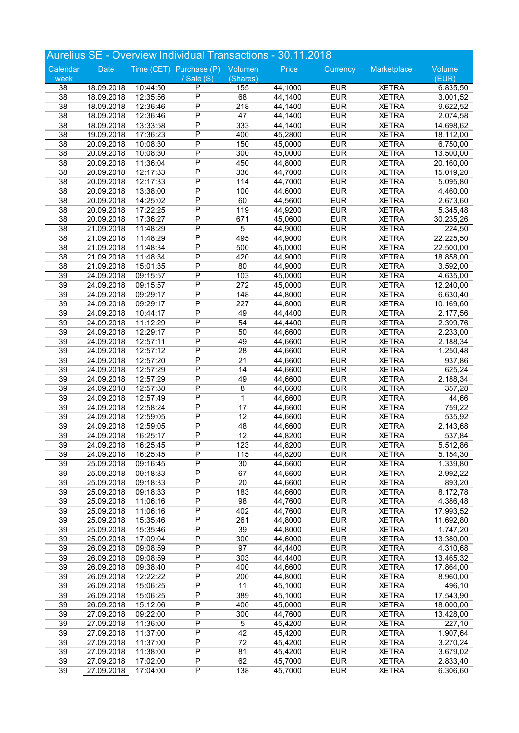|                       |                          |                      | Aurelius SE - Overview Individual Transactions - 30.11.2018 |                    |                    |                          |                              |                        |
|-----------------------|--------------------------|----------------------|-------------------------------------------------------------|--------------------|--------------------|--------------------------|------------------------------|------------------------|
| Calendar              | Date                     |                      | Time (CET) Purchase (P) Volumen                             |                    | Price              | Currency                 | Marketplace                  | Volume                 |
| week                  |                          |                      | / Sale (S)                                                  | (Shares)           |                    |                          |                              | (EUR)                  |
| 38                    | 18.09.2018               | 10:44:50             | P                                                           | 155                | 44,1000            | <b>EUR</b>               | <b>XETRA</b>                 | 6.835,50               |
| 38                    | 18.09.2018               | 12:35:56             | $\overline{P}$                                              | 68                 | 44,1400            | <b>EUR</b>               | <b>XETRA</b>                 | 3.001,52               |
| 38                    | 18.09.2018               | 12:36:46             | $\overline{P}$                                              | 218                | 44,1400            | <b>EUR</b>               | <b>XETRA</b>                 | 9.622,52               |
| 38                    | 18.09.2018               | 12:36:46             | $\overline{P}$<br>$\overline{P}$                            | 47                 | 44,1400            | <b>EUR</b>               | <b>XETRA</b>                 | 2.074,58               |
| 38<br>$\overline{38}$ | 18.09.2018               | 13:33:58<br>17:36:23 | $\overline{P}$                                              | 333<br>400         | 44,1400<br>45,2800 | <b>EUR</b><br><b>EUR</b> | <b>XETRA</b><br><b>XETRA</b> | 14.698,62              |
| $\overline{38}$       | 19.09.2018<br>20.09.2018 | 10:08:30             | P                                                           | 150                | 45,0000            | <b>EUR</b>               | <b>XETRA</b>                 | 18.112,00<br>6.750,00  |
| 38                    | 20.09.2018               | 10:08:30             | $\overline{P}$                                              | 300                | 45,0000            | <b>EUR</b>               | <b>XETRA</b>                 | 13.500,00              |
| 38                    | 20.09.2018               | 11:36:04             | $\overline{P}$                                              | 450                | 44,8000            | <b>EUR</b>               | <b>XETRA</b>                 | 20.160,00              |
| 38                    | 20.09.2018               | 12:17:33             | P                                                           | 336                | 44,7000            | <b>EUR</b>               | <b>XETRA</b>                 | 15.019,20              |
| 38                    | 20.09.2018               | 12:17:33             | $\overline{P}$                                              | 114                | 44,7000            | <b>EUR</b>               | <b>XETRA</b>                 | 5.095,80               |
| 38                    | 20.09.2018               | 13:38:00             | $\overline{P}$                                              | 100                | 44,6000            | <b>EUR</b>               | <b>XETRA</b>                 | 4.460,00               |
| 38                    | 20.09.2018               | 14:25:02             | $\overline{P}$                                              | 60                 | 44,5600            | <b>EUR</b>               | <b>XETRA</b>                 | 2.673,60               |
| 38                    | 20.09.2018               | 17:22:25             | $\overline{P}$                                              | 119                | 44,9200            | <b>EUR</b>               | <b>XETRA</b>                 | 5.345,48               |
| 38                    | 20.09.2018               | 17:36:27             | $\overline{P}$                                              | 671                | 45,0600            | <b>EUR</b>               | <b>XETRA</b>                 | 30.235,26              |
| $\overline{38}$       | 21.09.2018               | 11:48:29             | $\overline{\mathsf{P}}$                                     | 5                  | 44,9000            | <b>EUR</b>               | <b>XETRA</b>                 | 224,50                 |
| 38                    | 21.09.2018               | 11:48:29             | $\overline{P}$                                              | 495                | 44,9000            | <b>EUR</b>               | <b>XETRA</b>                 | 22.225,50              |
| 38                    | 21.09.2018               | 11:48:34             | $\overline{P}$                                              | 500                | 45,0000            | <b>EUR</b>               | <b>XETRA</b>                 | 22.500,00              |
| 38                    | 21.09.2018               | 11:48:34             | P                                                           | 420                | 44,9000            | <b>EUR</b>               | <b>XETRA</b>                 | 18.858,00              |
| 38                    | 21.09.2018               | 15:01:35             | $\overline{P}$                                              | 80                 | 44,9000            | <b>EUR</b>               | <b>XETRA</b>                 | 3.592,00               |
| $\overline{39}$<br>39 | 24.09.2018               | 09:15:57             | $\overline{P}$<br>$\overline{P}$                            | 103<br>272         | 45,0000            | <b>EUR</b><br><b>EUR</b> | <b>XETRA</b>                 | 4.635,00               |
| 39                    | 24.09.2018<br>24.09.2018 | 09:15:57<br>09:29:17 | $\overline{P}$                                              | 148                | 45,0000<br>44,8000 | <b>EUR</b>               | <b>XETRA</b><br><b>XETRA</b> | 12.240,00<br>6.630,40  |
| 39                    | 24.09.2018               | 09:29:17             | $\overline{P}$                                              | 227                | 44,8000            | <b>EUR</b>               | <b>XETRA</b>                 | 10.169,60              |
| 39                    | 24.09.2018               | 10:44:17             | $\overline{P}$                                              | 49                 | 44,4400            | <b>EUR</b>               | <b>XETRA</b>                 | 2.177,56               |
| 39                    | 24.09.2018               | 11:12:29             | $\overline{P}$                                              | 54                 | 44,4400            | <b>EUR</b>               | <b>XETRA</b>                 | 2.399,76               |
| 39                    | 24.09.2018               | 12:29:17             | $\overline{P}$                                              | 50                 | 44,6600            | <b>EUR</b>               | <b>XETRA</b>                 | 2.233,00               |
| 39                    | 24.09.2018               | 12:57:11             | $\overline{P}$                                              | 49                 | 44,6600            | <b>EUR</b>               | <b>XETRA</b>                 | 2.188,34               |
| 39                    | 24.09.2018               | 12:57:12             | P                                                           | 28                 | 44,6600            | <b>EUR</b>               | <b>XETRA</b>                 | 1.250,48               |
| 39                    | 24.09.2018               | 12:57:20             | P                                                           | 21                 | 44,6600            | <b>EUR</b>               | <b>XETRA</b>                 | 937,86                 |
| 39                    | 24.09.2018               | 12:57:29             | $\overline{P}$                                              | 14                 | 44,6600            | <b>EUR</b>               | <b>XETRA</b>                 | 625,24                 |
| 39                    | 24.09.2018               | 12:57:29             | $\overline{P}$                                              | 49                 | 44,6600            | <b>EUR</b>               | <b>XETRA</b>                 | 2.188,34               |
| 39                    | 24.09.2018               | 12:57:38             | $\overline{P}$                                              | $\overline{\bf 8}$ | 44,6600            | <b>EUR</b>               | <b>XETRA</b>                 | 357,28                 |
| 39                    | 24.09.2018               | 12:57:49             | P                                                           | $\mathbf 1$        | 44,6600            | <b>EUR</b>               | <b>XETRA</b>                 | 44,66                  |
| 39                    | 24.09.2018               | 12:58:24             | P                                                           | 17                 | 44,6600            | <b>EUR</b>               | <b>XETRA</b>                 | 759,22                 |
| 39                    | 24.09.2018               | 12:59:05             | $\overline{P}$<br>$\overline{P}$                            | 12                 | 44,6600            | <b>EUR</b>               | <b>XETRA</b>                 | 535,92                 |
| 39<br>39              | 24.09.2018<br>24.09.2018 | 12:59:05<br>16:25:17 | $\overline{P}$                                              | 48<br>12           | 44,6600<br>44,8200 | <b>EUR</b><br><b>EUR</b> | <b>XETRA</b><br><b>XETRA</b> | 2.143,68<br>537,84     |
| 39                    | 24.09.2018               | 16:25:45             | P                                                           | 123                | 44,8200            | <b>EUR</b>               | <b>XETRA</b>                 | 5.512,86               |
| 39                    | 24.09.2018               | 16:25:45             | $\overline{P}$                                              | 115                | 44,8200            | <b>EUR</b>               | <b>XETRA</b>                 | 5.154,30               |
| $\overline{39}$       | 25.09.2018               | 09:16:45             | $\overline{\mathsf{P}}$                                     | 30                 | 44,6600            | <b>EUR</b>               | <b>XETRA</b>                 | 1.339,80               |
| 39                    | 25.09.2018               | 09:18:33             | $\overline{P}$                                              | 67                 | 44,6600            | <b>EUR</b>               | <b>XETRA</b>                 | 2.992,22               |
| 39                    | 25.09.2018               | 09:18:33             | $\overline{P}$                                              | 20                 | 44,6600            | <b>EUR</b>               | <b>XETRA</b>                 | 893,20                 |
| 39                    | 25.09.2018               | 09:18:33             | P                                                           | 183                | 44,6600            | <b>EUR</b>               | <b>XETRA</b>                 | 8.172,78               |
| 39                    | 25.09.2018               | 11:06:16             | P                                                           | 98                 | 44,7600            | <b>EUR</b>               | <b>XETRA</b>                 | 4.386,48               |
| 39                    | 25.09.2018               | 11:06:16             | $\overline{P}$                                              | 402                | 44,7600            | <b>EUR</b>               | <b>XETRA</b>                 | 17.993,52              |
| 39                    | 25.09.2018               | 15:35:46             | $\overline{P}$                                              | 261                | 44,8000            | <b>EUR</b>               | <b>XETRA</b>                 | 11.692,80              |
| 39                    | 25.09.2018               | 15:35:46             | $\overline{P}$                                              | 39                 | 44,8000            | <b>EUR</b>               | <b>XETRA</b>                 | 1.747,20               |
| 39                    | 25.09.2018               | 17:09:04             | P                                                           | 300                | 44,6000            | <b>EUR</b>               | <b>XETRA</b>                 | 13.380,00              |
| 39                    | 26.09.2018               | 09:08:59             | $\overline{P}$                                              | 97                 | 44,4400            | <b>EUR</b>               | <b>XETRA</b>                 | 4.310,68               |
| 39                    | 26.09.2018               | 09:08:59             | $\overline{P}$                                              | 303                | 44,4400            | <b>EUR</b>               | <b>XETRA</b>                 | 13.465,32              |
| 39                    | 26.09.2018               | 09:38:40             | $\overline{P}$                                              | 400                | 44,6600            | <b>EUR</b>               | <b>XETRA</b>                 | 17.864,00              |
| 39                    | 26.09.2018               | 12:22:22             | $\overline{P}$                                              | 200                | 44,8000            | <b>EUR</b>               | <b>XETRA</b>                 | 8.960,00               |
| 39                    | 26.09.2018               | 15:06:25             | P<br>P                                                      | 11                 | 45,1000            | <b>EUR</b>               | <b>XETRA</b>                 | 496,10                 |
| 39<br>39              | 26.09.2018<br>26.09.2018 | 15:06:25<br>15:12:06 | $\overline{P}$                                              | 389<br>400         | 45,1000<br>45,0000 | <b>EUR</b><br><b>EUR</b> | <b>XETRA</b><br><b>XETRA</b> | 17.543,90<br>18.000,00 |
| 39                    | 27.09.2018               | 09:22:00             | $\overline{\mathsf{P}}$                                     | 300                | 44,7600            | <b>EUR</b>               | <b>XETRA</b>                 | 13.428,00              |
| 39                    | 27.09.2018               | 11:36:00             | $\overline{P}$                                              | 5                  | 45,4200            | <b>EUR</b>               | <b>XETRA</b>                 | 227,10                 |
| 39                    | 27.09.2018               | 11:37:00             | P                                                           | 42                 | 45,4200            | <b>EUR</b>               | <b>XETRA</b>                 | 1.907,64               |
| 39                    | 27.09.2018               | 11:37:00             | P                                                           | 72                 | 45,4200            | <b>EUR</b>               | <b>XETRA</b>                 | 3.270,24               |
| 39                    | 27.09.2018               | 11:38:00             | P                                                           | 81                 | 45,4200            | <b>EUR</b>               | <b>XETRA</b>                 | 3.679,02               |
| 39                    | 27.09.2018               | 17:02:00             | P                                                           | 62                 | 45,7000            | <b>EUR</b>               | <b>XETRA</b>                 | 2.833,40               |
| 39                    | 27.09.2018               | 17:04:00             | $\overline{P}$                                              | 138                | 45,7000            | <b>EUR</b>               | <b>XETRA</b>                 | 6.306,60               |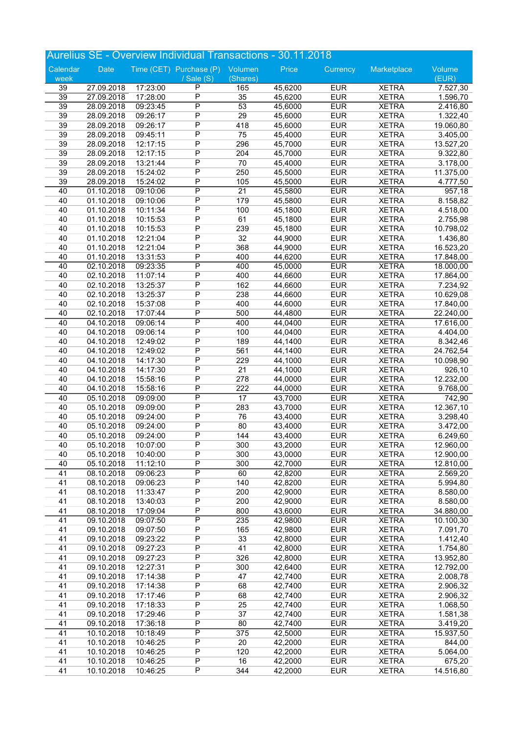|                 |                          |                      | <b>Aurelius SE - Overview Individual Transactions - 30.11.2018</b> |                 |                    |                          |                              |                        |
|-----------------|--------------------------|----------------------|--------------------------------------------------------------------|-----------------|--------------------|--------------------------|------------------------------|------------------------|
| Calendar        | <b>Date</b>              |                      | Time (CET) Purchase (P)                                            | Volumen         | Price              | Currency                 | Marketplace                  | Volume                 |
| week            |                          |                      | / Sale (S)                                                         | (Shares)        |                    |                          |                              | (EUR)                  |
| 39              | 27.09.2018               | 17:23:00             | $\mathsf{P}$                                                       | 165             | 45,6200            | <b>EUR</b>               | <b>XETRA</b>                 | 7.527,30               |
| $\overline{39}$ | 27.09.2018               | 17:28:00             | $\overline{P}$                                                     | 35              | 45,6200            | <b>EUR</b>               | <b>XETRA</b>                 | 1.596,70               |
| 39              | 28.09.2018               | 09:23:45             | $\overline{\mathsf{P}}$                                            | 53              | 45,6000            | <b>EUR</b>               | <b>XETRA</b>                 | 2.416,80               |
| 39              | 28.09.2018               | 09:26:17             | P                                                                  | 29              | 45,6000            | <b>EUR</b>               | <b>XETRA</b>                 | 1.322,40               |
| 39              | 28.09.2018               | 09:26:17             | $\overline{P}$                                                     | 418             | 45,6000            | <b>EUR</b>               | <b>XETRA</b>                 | 19.060,80              |
| 39              | 28.09.2018               | 09:45:11             | $\overline{P}$<br>$\overline{P}$                                   | 75              | 45,4000            | <b>EUR</b>               | <b>XETRA</b>                 | 3.405,00               |
| 39<br>39        | 28.09.2018               | 12:17:15<br>12:17:15 | P                                                                  | 296             | 45,7000<br>45,7000 | <b>EUR</b><br><b>EUR</b> | <b>XETRA</b><br><b>XETRA</b> | 13.527,20              |
| 39              | 28.09.2018<br>28.09.2018 | 13:21:44             | P                                                                  | 204<br>70       | 45,4000            | <b>EUR</b>               | <b>XETRA</b>                 | 9.322,80<br>3.178,00   |
| 39              | 28.09.2018               | 15:24:02             | $\overline{P}$                                                     | 250             | 45,5000            | <b>EUR</b>               | <b>XETRA</b>                 | 11.375,00              |
| 39              | 28.09.2018               | 15:24:02             | $\overline{P}$                                                     | 105             | 45,5000            | <b>EUR</b>               | <b>XETRA</b>                 | 4.777,50               |
| 40              | 01.10.2018               | 09:10:06             | $\overline{\mathsf{P}}$                                            | $\overline{21}$ | 45,5800            | <b>EUR</b>               | <b>XETRA</b>                 | 957,18                 |
| 40              | 01.10.2018               | 09:10:06             | $\overline{P}$                                                     | 179             | 45,5800            | <b>EUR</b>               | <b>XETRA</b>                 | 8.158,82               |
| 40              | 01.10.2018               | 10:11:34             | P                                                                  | 100             | 45,1800            | <b>EUR</b>               | <b>XETRA</b>                 | 4.518,00               |
| 40              | 01.10.2018               | 10:15:53             | $\overline{P}$                                                     | 61              | 45,1800            | <b>EUR</b>               | <b>XETRA</b>                 | 2.755,98               |
| 40              | 01.10.2018               | 10:15:53             | $\overline{P}$                                                     | 239             | 45,1800            | <b>EUR</b>               | <b>XETRA</b>                 | 10.798,02              |
| 40              | 01.10.2018               | 12:21:04             | $\overline{P}$                                                     | 32              | 44,9000            | <b>EUR</b>               | <b>XETRA</b>                 | 1.436,80               |
| 40              | 01.10.2018               | 12:21:04             | $\overline{P}$                                                     | 368             | 44,9000            | <b>EUR</b>               | <b>XETRA</b>                 | 16.523,20              |
| 40              | 01.10.2018               | 13:31:53             | P                                                                  | 400             | 44,6200            | <b>EUR</b>               | <b>XETRA</b>                 | 17.848,00              |
| 40              | 02.10.2018               | 09:23:35             | $\overline{P}$                                                     | 400             | 45,0000            | <b>EUR</b>               | <b>XETRA</b>                 | 18.000,00              |
| 40              | 02.10.2018               | 11:07:14             | $\overline{P}$                                                     | 400             | 44,6600            | <b>EUR</b>               | <b>XETRA</b>                 | 17.864,00              |
| 40              | 02.10.2018               | 13:25:37             | $\overline{P}$                                                     | 162             | 44,6600            | <b>EUR</b>               | <b>XETRA</b>                 | 7.234,92               |
| 40              | 02.10.2018               | 13:25:37             | $\overline{P}$                                                     | 238             | 44,6600            | <b>EUR</b>               | <b>XETRA</b>                 | 10.629,08              |
| 40              | 02.10.2018               | 15:37:08             | P<br>$\overline{P}$                                                | 400             | 44,6000            | <b>EUR</b><br><b>EUR</b> | <b>XETRA</b>                 | 17.840,00              |
| 40<br>40        | 02.10.2018<br>04.10.2018 | 17:07:44<br>09:06:14 | $\overline{P}$                                                     | 500<br>400      | 44,4800<br>44,0400 | <b>EUR</b>               | <b>XETRA</b><br><b>XETRA</b> | 22.240,00<br>17.616,00 |
| 40              | 04.10.2018               | 09:06:14             | $\overline{P}$                                                     | 100             | 44,0400            | <b>EUR</b>               | <b>XETRA</b>                 | 4.404,00               |
| 40              | 04.10.2018               | 12:49:02             | $\overline{P}$                                                     | 189             | 44,1400            | <b>EUR</b>               | <b>XETRA</b>                 | 8.342,46               |
| 40              | 04.10.2018               | 12:49:02             | P                                                                  | 561             | 44,1400            | <b>EUR</b>               | <b>XETRA</b>                 | 24.762,54              |
| 40              | 04.10.2018               | 14:17:30             | $\overline{P}$                                                     | 229             | 44,1000            | <b>EUR</b>               | <b>XETRA</b>                 | 10.098,90              |
| 40              | 04.10.2018               | 14:17:30             | $\overline{P}$                                                     | 21              | 44,1000            | <b>EUR</b>               | <b>XETRA</b>                 | 926,10                 |
| 40              | 04.10.2018               | 15:58:16             | $\overline{P}$                                                     | 278             | 44,0000            | <b>EUR</b>               | <b>XETRA</b>                 | 12.232,00              |
| 40              | 04.10.2018               | 15:58:16             | $\overline{P}$                                                     | 222             | 44,0000            | <b>EUR</b>               | <b>XETRA</b>                 | 9.768,00               |
| 40              | 05.10.2018               | 09:09:00             | $\overline{\mathsf{P}}$                                            | $\overline{17}$ | 43,7000            | <b>EUR</b>               | <b>XETRA</b>                 | 742,90                 |
| 40              | 05.10.2018               | 09:09:00             | $\overline{P}$                                                     | 283             | 43,7000            | <b>EUR</b>               | <b>XETRA</b>                 | 12.367,10              |
| 40              | 05.10.2018               | 09:24:00             | $\overline{P}$                                                     | 76              | 43,4000            | <b>EUR</b>               | <b>XETRA</b>                 | 3.298,40               |
| 40              | 05.10.2018               | 09:24:00             | $\overline{P}$                                                     | 80              | 43,4000            | <b>EUR</b>               | <b>XETRA</b>                 | 3.472,00               |
| 40              | 05.10.2018               | 09:24:00             | $\overline{P}$                                                     | 144             | 43,4000            | <b>EUR</b>               | <b>XETRA</b>                 | 6.249,60               |
| 40              | 05.10.2018               | 10:07:00             | P<br>$\overline{P}$                                                | 300             | 43,2000            | <b>EUR</b>               | <b>XETRA</b>                 | 12.960,00              |
| 40<br>40        | 05.10.2018<br>05.10.2018 | 10:40:00<br>11:12:10 | P                                                                  | 300<br>300      | 43,0000<br>42,7000 | <b>EUR</b><br><b>EUR</b> | <b>XETRA</b><br><b>XETRA</b> | 12.900,00<br>12.810,00 |
| $\overline{41}$ | 08.10.2018               | 09:06:23             | $\overline{\mathsf{P}}$                                            | 60              | 42,8200            | <b>EUR</b>               | <b>XETRA</b>                 | 2.569,20               |
| 41              | 08.10.2018               | 09:06:23             | P                                                                  | 140             | 42,8200            | <b>EUR</b>               | <b>XETRA</b>                 | 5.994,80               |
| 41              | 08.10.2018               | 11:33:47             | P                                                                  | 200             | 42,9000            | <b>EUR</b>               | <b>XETRA</b>                 | 8.580,00               |
| 41              | 08.10.2018               | 13:40:03             | $\overline{P}$                                                     | 200             | 42,9000            | <b>EUR</b>               | <b>XETRA</b>                 | 8.580,00               |
| 41              | 08.10.2018               | 17:09:04             | $\overline{P}$                                                     | 800             | 43,6000            | <b>EUR</b>               | <b>XETRA</b>                 | 34.880,00              |
| 41              | 09.10.2018               | 09:07:50             | $\overline{\mathsf{P}}$                                            | 235             | 42,9800            | <b>EUR</b>               | <b>XETRA</b>                 | 10.100,30              |
| 41              | 09.10.2018               | 09:07:50             | $\overline{P}$                                                     | 165             | 42,9800            | <b>EUR</b>               | <b>XETRA</b>                 | 7.091,70               |
| 41              | 09.10.2018               | 09:23:22             | $\overline{P}$                                                     | 33              | 42,8000            | <b>EUR</b>               | <b>XETRA</b>                 | 1.412,40               |
| 41              | 09.10.2018               | 09:27:23             | $\overline{P}$                                                     | 41              | 42,8000            | <b>EUR</b>               | <b>XETRA</b>                 | 1.754,80               |
| 41              | 09.10.2018               | 09:27:23             | $\overline{P}$                                                     | 326             | 42,8000            | <b>EUR</b>               | <b>XETRA</b>                 | 13.952,80              |
| 41              | 09.10.2018               | 12:27:31             | $\overline{P}$                                                     | 300             | 42,6400            | <b>EUR</b>               | <b>XETRA</b>                 | 12.792,00              |
| 41              | 09.10.2018               | 17:14:38             | $\overline{P}$                                                     | 47              | 42,7400            | <b>EUR</b>               | <b>XETRA</b>                 | 2.008,78               |
| 41              | 09.10.2018               | 17:14:38             | P                                                                  | 68              | 42,7400            | <b>EUR</b>               | <b>XETRA</b>                 | 2.906,32               |
| 41              | 09.10.2018               | 17:17:46             | $\overline{P}$<br>$\overline{P}$                                   | 68              | 42,7400            | <b>EUR</b>               | <b>XETRA</b>                 | 2.906,32               |
| 41<br>41        | 09.10.2018<br>09.10.2018 | 17:18:33<br>17:29:46 | $\overline{P}$                                                     | 25<br>37        | 42,7400<br>42,7400 | <b>EUR</b><br><b>EUR</b> | <b>XETRA</b><br><b>XETRA</b> | 1.068,50<br>1.581,38   |
| 41              | 09.10.2018               | 17:36:18             | $\overline{P}$                                                     | 80              | 42,7400            | <b>EUR</b>               | <b>XETRA</b>                 | 3.419,20               |
| 41              | 10.10.2018               | 10:18:49             | $\overline{P}$                                                     | 375             | 42,5000            | <b>EUR</b>               | <b>XETRA</b>                 | 15.937,50              |
| 41              | 10.10.2018               | 10:46:25             | $\overline{P}$                                                     | 20              | 42,2000            | <b>EUR</b>               | <b>XETRA</b>                 | 844,00                 |
| 41              | 10.10.2018               | 10:46:25             | P                                                                  | 120             | 42,2000            | <b>EUR</b>               | <b>XETRA</b>                 | 5.064,00               |
| 41              | 10.10.2018               | 10:46:25             | $\overline{P}$                                                     | 16              | 42,2000            | <b>EUR</b>               | <b>XETRA</b>                 | 675,20                 |
| 41              | 10.10.2018               | 10:46:25             | $\overline{P}$                                                     | 344             | 42,2000            | <b>EUR</b>               | <b>XETRA</b>                 | 14.516,80              |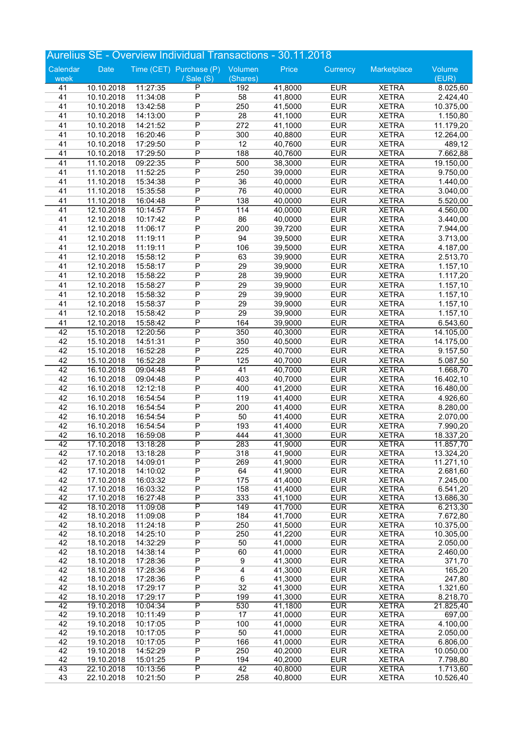|                       |                          |                      | <b>Aurelius SE - Overview Individual Transactions - 30.11.2018</b> |                 |                    |                          |                              |                        |
|-----------------------|--------------------------|----------------------|--------------------------------------------------------------------|-----------------|--------------------|--------------------------|------------------------------|------------------------|
| Calendar              | Date                     |                      | Time (CET) Purchase (P)                                            | Volumen         | Price              | Currency                 | Marketplace                  | Volume                 |
| week                  |                          |                      | / Sale (S)                                                         | (Shares)        |                    |                          |                              | (EUR)                  |
| 41                    | 10.10.2018               | 11:27:35             | P                                                                  | 192             | 41,8000            | <b>EUR</b>               | <b>XETRA</b>                 | 8.025,60               |
| 41                    | 10.10.2018               | 11:34:08             | $\overline{P}$                                                     | 58              | 41,8000            | <b>EUR</b>               | <b>XETRA</b>                 | 2.424,40               |
| 41                    | 10.10.2018               | 13:42:58             | $\overline{P}$                                                     | 250             | 41,5000            | <b>EUR</b>               | <b>XETRA</b>                 | 10.375,00              |
| 41                    | 10.10.2018               | 14:13:00             | $\overline{P}$                                                     | 28              | 41,1000            | <b>EUR</b>               | <b>XETRA</b>                 | 1.150,80               |
| 41                    | 10.10.2018               | 14:21:52             | $\overline{P}$                                                     | 272             | 41,1000            | <b>EUR</b>               | <b>XETRA</b>                 | 11.179,20              |
| 41                    | 10.10.2018               | 16:20:46             | $\overline{P}$                                                     | 300             | 40,8800            | <b>EUR</b>               | <b>XETRA</b>                 | 12.264,00              |
| 41                    | 10.10.2018               | 17:29:50             | $\overline{P}$                                                     | 12              | 40,7600            | <b>EUR</b>               | <b>XETRA</b>                 | 489,12                 |
| 41                    | 10.10.2018               | 17:29:50             | $\mathsf P$                                                        | 188             | 40,7600            | <b>EUR</b>               | <b>XETRA</b>                 | 7.662,88               |
| $\overline{41}$       | 11.10.2018               | 09:22:35             | $\overline{\mathsf{P}}$                                            | 500             | 38,3000            | <b>EUR</b>               | <b>XETRA</b>                 | 19.150,00              |
| 41                    | 11.10.2018               | 11:52:25             | $\overline{P}$                                                     | 250             | 39,0000            | <b>EUR</b>               | <b>XETRA</b>                 | 9.750,00               |
| 41                    | 11.10.2018               | 15:34:38             | $\overline{P}$<br>$\overline{\mathsf{P}}$                          | 36              | 40,0000            | <b>EUR</b>               | <b>XETRA</b>                 | 1.440,00               |
| 41                    | 11.10.2018               | 15:35:58             | $\overline{P}$                                                     | 76<br>138       | 40,0000<br>40,0000 | <b>EUR</b><br><b>EUR</b> | <b>XETRA</b>                 | 3.040,00               |
| 41<br>$\overline{41}$ | 11.10.2018<br>12.10.2018 | 16:04:48<br>10:14:57 | $\overline{P}$                                                     | 114             | 40,0000            | <b>EUR</b>               | <b>XETRA</b><br><b>XETRA</b> | 5.520,00<br>4.560,00   |
| 41                    | 12.10.2018               | 10:17:42             | $\overline{P}$                                                     | 86              | 40,0000            | <b>EUR</b>               | <b>XETRA</b>                 | 3.440,00               |
| 41                    | 12.10.2018               | 11:06:17             | $\overline{P}$                                                     | 200             | 39,7200            | <b>EUR</b>               | <b>XETRA</b>                 | 7.944,00               |
| 41                    | 12.10.2018               | 11:19:11             | $\overline{P}$                                                     | 94              | 39,5000            | <b>EUR</b>               | <b>XETRA</b>                 | 3.713,00               |
| 41                    | 12.10.2018               | 11:19:11             | $\overline{P}$                                                     | 106             | 39,5000            | <b>EUR</b>               | <b>XETRA</b>                 | 4.187,00               |
| 41                    | 12.10.2018               | 15:58:12             | $\overline{P}$                                                     | 63              | 39,9000            | <b>EUR</b>               | <b>XETRA</b>                 | 2.513,70               |
| 41                    | 12.10.2018               | 15:58:17             | $\overline{P}$                                                     | 29              | 39,9000            | <b>EUR</b>               | <b>XETRA</b>                 | 1.157,10               |
| 41                    | 12.10.2018               | 15:58:22             | $\overline{P}$                                                     | 28              | 39,9000            | <b>EUR</b>               | <b>XETRA</b>                 | 1.117,20               |
| 41                    | 12.10.2018               | 15:58:27             | $\overline{\mathsf{P}}$                                            | 29              | 39,9000            | <b>EUR</b>               | <b>XETRA</b>                 | 1.157,10               |
| 41                    | 12.10.2018               | 15:58:32             | $\overline{P}$                                                     | 29              | 39,9000            | <b>EUR</b>               | <b>XETRA</b>                 | 1.157,10               |
| 41                    | 12.10.2018               | 15:58:37             | $\overline{P}$                                                     | 29              | 39,9000            | <b>EUR</b>               | <b>XETRA</b>                 | 1.157,10               |
| 41                    | 12.10.2018               | 15:58:42             | $\overline{P}$                                                     | 29              | 39,9000            | <b>EUR</b>               | <b>XETRA</b>                 | 1.157,10               |
| 41                    | 12.10.2018               | 15:58:42             | $\overline{P}$                                                     | 164             | 39,9000            | <b>EUR</b>               | <b>XETRA</b>                 | 6.543,60               |
| $\overline{42}$       | 15.10.2018               | 12:20:56             | $\overline{\mathsf{P}}$                                            | 350             | 40,3000            | <b>EUR</b>               | <b>XETRA</b>                 | 14.105,00              |
| 42                    | 15.10.2018               | 14:51:31             | $\overline{P}$                                                     | 350             | 40,5000            | <b>EUR</b>               | <b>XETRA</b>                 | 14.175,00              |
| 42                    | 15.10.2018               | 16:52:28             | $\overline{P}$                                                     | 225             | 40,7000            | <b>EUR</b>               | <b>XETRA</b>                 | 9.157,50               |
| 42                    | 15.10.2018               | 16:52:28             | $\overline{P}$                                                     | 125             | 40,7000            | <b>EUR</b>               | <b>XETRA</b>                 | 5.087,50               |
| 42                    | 16.10.2018               | 09:04:48             | $\overline{\mathsf{P}}$                                            | 41              | 40,7000            | <b>EUR</b>               | <b>XETRA</b>                 | 1.668,70               |
| 42                    | 16.10.2018               | 09:04:48             | $\overline{\mathsf{P}}$                                            | 403             | 40,7000            | <b>EUR</b>               | <b>XETRA</b>                 | 16.402,10              |
| 42                    | 16.10.2018               | 12:12:18             | $\overline{P}$                                                     | 400             | 41,2000            | <b>EUR</b>               | <b>XETRA</b>                 | 16.480,00              |
| 42                    | 16.10.2018               | 16:54:54             | $\overline{P}$                                                     | 119             | 41,4000            | <b>EUR</b>               | <b>XETRA</b>                 | 4.926,60               |
| 42                    | 16.10.2018               | 16:54:54             | $\overline{P}$                                                     | 200             | 41,4000            | <b>EUR</b>               | <b>XETRA</b>                 | 8.280,00               |
| 42                    | 16.10.2018               | 16:54:54             | $\overline{P}$                                                     | 50              | 41,4000            | <b>EUR</b>               | <b>XETRA</b>                 | 2.070,00               |
| 42                    | 16.10.2018               | 16:54:54             | $\overline{\mathsf{P}}$                                            | 193             | 41,4000            | <b>EUR</b>               | <b>XETRA</b>                 | 7.990,20               |
| 42                    | 16.10.2018               | 16:59:08             | P                                                                  | 444             | 41,3000            | <b>EUR</b>               | <b>XETRA</b>                 | 18.337,20              |
| 42<br>42              | 17.10.2018<br>17.10.2018 | 13:18:28<br>13:18:28 | P<br>P                                                             | 283<br>318      | 41,9000<br>41,9000 | EUR<br><b>EUR</b>        | <b>XETRA</b><br><b>XETRA</b> | 11.857,70<br>13.324,20 |
| 42                    | 17.10.2018               | 14:09:01             | $\overline{P}$                                                     | 269             | 41,9000            | <b>EUR</b>               | <b>XETRA</b>                 | 11.271,10              |
| 42                    | 17.10.2018               | 14:10:02             | P                                                                  | 64              | 41,9000            | <b>EUR</b>               | <b>XETRA</b>                 | 2.681,60               |
| 42                    | 17.10.2018               | 16:03:32             | P                                                                  | 175             | 41,4000            | <b>EUR</b>               | <b>XETRA</b>                 | 7.245,00               |
| 42                    | 17.10.2018               | 16:03:32             | $\overline{P}$                                                     | 158             | 41,4000            | <b>EUR</b>               | <b>XETRA</b>                 | 6.541,20               |
| 42                    | 17.10.2018               | 16:27:48             | Ρ                                                                  | 333             | 41,1000            | <b>EUR</b>               | <b>XETRA</b>                 | 13.686,30              |
| 42                    | 18.10.2018               | 11:09:08             | P                                                                  | 149             | 41,7000            | <b>EUR</b>               | <b>XETRA</b>                 | 6.213,30               |
| 42                    | 18.10.2018               | 11:09:08             | $\overline{P}$                                                     | 184             | 41,7000            | <b>EUR</b>               | <b>XETRA</b>                 | 7.672,80               |
| 42                    | 18.10.2018               | 11:24:18             | Ρ                                                                  | 250             | 41,5000            | <b>EUR</b>               | <b>XETRA</b>                 | 10.375,00              |
| 42                    | 18.10.2018               | 14:25:10             | $\overline{P}$                                                     | 250             | 41,2200            | <b>EUR</b>               | <b>XETRA</b>                 | 10.305,00              |
| 42<br>42              | 18.10.2018<br>18.10.2018 | 14:32:29<br>14:38:14 | Ρ<br>P                                                             | 50<br>60        | 41,0000<br>41,0000 | <b>EUR</b><br><b>EUR</b> | <b>XETRA</b><br><b>XETRA</b> | 2.050,00<br>2.460,00   |
| 42                    | 18.10.2018               | 17:28:36             | $\overline{P}$                                                     | $9$             | 41,3000            | <b>EUR</b>               | <b>XETRA</b>                 | 371,70                 |
| 42                    | 18.10.2018               | 17:28:36             | Ρ                                                                  | 4               | 41,3000            | <b>EUR</b>               | <b>XETRA</b>                 | 165,20                 |
| 42                    | 18.10.2018               | 17:28:36             | $\overline{P}$                                                     | $6\overline{6}$ | 41,3000            | <b>EUR</b>               | <b>XETRA</b>                 | 247,80                 |
| 42                    | 18.10.2018               | 17:29:17             | P                                                                  | 32              | 41,3000            | <b>EUR</b>               | <b>XETRA</b>                 | 1.321,60               |
| 42                    | 18.10.2018               | 17:29:17             | P                                                                  | 199             | 41,3000            | <b>EUR</b>               | <b>XETRA</b>                 | 8.218,70               |
| 42                    | 19.10.2018               | 10:04:34             | $\overline{\mathsf{P}}$                                            | 530             | 41,1800            | <b>EUR</b>               | <b>XETRA</b>                 | 21.825,40              |
| 42                    | 19.10.2018               | 10:11:49             | Ρ                                                                  | 17              | 41,0000            | <b>EUR</b>               | <b>XETRA</b>                 | 697,00                 |
| 42                    | 19.10.2018               | 10:17:05             | $\overline{P}$                                                     | 100             | 41,0000            | <b>EUR</b>               | <b>XETRA</b>                 | 4.100,00               |
| 42                    | 19.10.2018               | 10:17:05             | P                                                                  | 50              | 41,0000            | <b>EUR</b>               | <b>XETRA</b>                 | 2.050,00               |
| 42                    | 19.10.2018               | 10:17:05             | $\overline{P}$                                                     | 166             | 41,0000            | <b>EUR</b>               | <b>XETRA</b>                 | 6.806,00               |
| 42                    | 19.10.2018               | 14:52:29             | Ρ                                                                  | 250             | 40,2000            | <b>EUR</b>               | <b>XETRA</b>                 | 10.050,00              |
| 42<br>43              | 19.10.2018<br>22.10.2018 | 15:01:25<br>10:13:56 | P<br>P                                                             | 194<br>42       | 40,2000<br>40,8000 | <b>EUR</b><br><b>EUR</b> | <b>XETRA</b><br><b>XETRA</b> | 7.798,80<br>1.713,60   |
| 43                    | 22.10.2018               | 10:21:50             | P                                                                  | 258             | 40,8000            | <b>EUR</b>               | <b>XETRA</b>                 | 10.526,40              |
|                       |                          |                      |                                                                    |                 |                    |                          |                              |                        |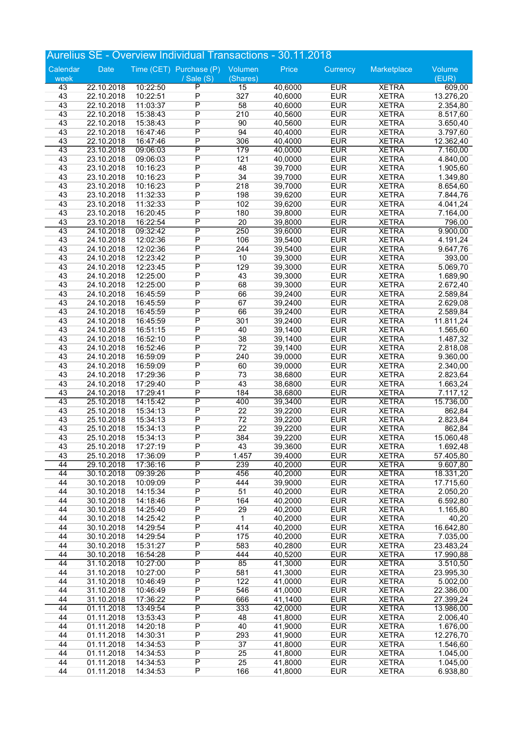|                 |                          |                      | Aurelius SE - Overview Individual Transactions - 30.11.2018 |            |                    |                          |                              |                        |
|-----------------|--------------------------|----------------------|-------------------------------------------------------------|------------|--------------------|--------------------------|------------------------------|------------------------|
| Calendar        | Date                     |                      | Time (CET) Purchase (P)                                     | Volumen    | Price              | Currency                 | Marketplace                  | Volume                 |
| week            |                          |                      | / Sale $(S)$                                                | (Shares)   |                    |                          |                              | (EUR)                  |
| 43              | 22.10.2018               | 10:22:50             | $\overline{\mathsf{P}}$                                     | 15         | 40,6000            | <b>EUR</b>               | <b>XETRA</b>                 | 609,00                 |
| 43              | 22.10.2018               | 10:22:51             | $\overline{P}$<br>$\overline{P}$                            | 327        | 40,6000            | <b>EUR</b>               | <b>XETRA</b>                 | 13.276,20              |
| 43<br>43        | 22.10.2018<br>22.10.2018 | 11:03:37<br>15:38:43 | $\overline{P}$                                              | 58<br>210  | 40,6000<br>40,5600 | <b>EUR</b><br><b>EUR</b> | <b>XETRA</b><br><b>XETRA</b> | 2.354,80<br>8.517,60   |
| 43              | 22.10.2018               | 15:38:43             | $\overline{P}$                                              | 90         | 40,5600            | <b>EUR</b>               | <b>XETRA</b>                 | 3.650,40               |
| 43              | 22.10.2018               | 16:47:46             | $\overline{P}$                                              | 94         | 40,4000            | <b>EUR</b>               | <b>XETRA</b>                 | 3.797,60               |
| 43              | 22.10.2018               | 16:47:46             | $\overline{P}$                                              | 306        | 40,4000            | <b>EUR</b>               | <b>XETRA</b>                 | 12.362,40              |
| 43              | 23.10.2018               | 09:06:03             | P                                                           | 179        | 40,0000            | <b>EUR</b>               | <b>XETRA</b>                 | 7.160,00               |
| 43              | 23.10.2018               | 09:06:03             | $\overline{P}$                                              | 121        | 40,0000            | <b>EUR</b>               | <b>XETRA</b>                 | 4.840,00               |
| 43              | 23.10.2018               | 10:16:23             | $\overline{P}$                                              | 48         | 39,7000            | <b>EUR</b>               | <b>XETRA</b>                 | 1.905,60               |
| 43              | 23.10.2018               | 10:16:23             | $\overline{P}$                                              | 34         | 39,7000            | <b>EUR</b>               | <b>XETRA</b>                 | 1.349,80               |
| 43              | 23.10.2018               | 10:16:23             | $\overline{P}$<br>$\overline{P}$                            | 218        | 39,7000            | <b>EUR</b><br><b>EUR</b> | <b>XETRA</b>                 | 8.654,60               |
| 43<br>43        | 23.10.2018<br>23.10.2018 | 11:32:33<br>11:32:33 | $\overline{P}$                                              | 198<br>102 | 39,6200<br>39,6200 | <b>EUR</b>               | <b>XETRA</b><br><b>XETRA</b> | 7.844,76<br>4.041,24   |
| 43              | 23.10.2018               | 16:20:45             | $\overline{P}$                                              | 180        | 39,8000            | <b>EUR</b>               | <b>XETRA</b>                 | 7.164,00               |
| 43              | 23.10.2018               | 16:22:54             | $\overline{P}$                                              | 20         | 39,8000            | <b>EUR</b>               | <b>XETRA</b>                 | 796,00                 |
| $\overline{43}$ | 24.10.2018               | 09:32:42             | $\overline{\mathsf{P}}$                                     | 250        | 39,6000            | <b>EUR</b>               | <b>XETRA</b>                 | 9.900,00               |
| 43              | 24.10.2018               | 12:02:36             | $\overline{P}$                                              | 106        | 39,5400            | <b>EUR</b>               | <b>XETRA</b>                 | 4.191,24               |
| 43              | 24.10.2018               | 12:02:36             | $\overline{P}$                                              | 244        | 39,5400            | <b>EUR</b>               | <b>XETRA</b>                 | 9.647,76               |
| 43              | 24.10.2018               | 12:23:42             | $\overline{P}$                                              | 10         | 39,3000            | <b>EUR</b>               | <b>XETRA</b>                 | 393,00                 |
| 43              | 24.10.2018               | 12:23:45             | P                                                           | 129        | 39,3000            | <b>EUR</b>               | <b>XETRA</b>                 | 5.069,70               |
| 43              | 24.10.2018               | 12:25:00             | $\overline{P}$<br>$\overline{P}$                            | 43         | 39,3000            | <b>EUR</b>               | <b>XETRA</b>                 | 1.689,90               |
| 43<br>43        | 24.10.2018<br>24.10.2018 | 12:25:00<br>16:45:59 | $\overline{P}$                                              | 68<br>66   | 39,3000<br>39,2400 | <b>EUR</b><br><b>EUR</b> | <b>XETRA</b><br><b>XETRA</b> | 2.672,40<br>2.589,84   |
| 43              | 24.10.2018               | 16:45:59             | P                                                           | 67         | 39,2400            | <b>EUR</b>               | <b>XETRA</b>                 | 2.629,08               |
| 43              | 24.10.2018               | 16:45:59             | $\overline{P}$                                              | 66         | 39,2400            | <b>EUR</b>               | <b>XETRA</b>                 | 2.589,84               |
| 43              | 24.10.2018               | 16:45:59             | $\overline{P}$                                              | 301        | 39,2400            | <b>EUR</b>               | <b>XETRA</b>                 | 11.811,24              |
| 43              | 24.10.2018               | 16:51:15             | $\overline{P}$                                              | 40         | 39,1400            | <b>EUR</b>               | <b>XETRA</b>                 | 1.565,60               |
| 43              | 24.10.2018               | 16:52:10             | $\overline{P}$                                              | 38         | 39,1400            | <b>EUR</b>               | <b>XETRA</b>                 | 1.487,32               |
| 43              | 24.10.2018               | 16:52:46             | $\overline{P}$                                              | 72         | 39,1400            | <b>EUR</b>               | <b>XETRA</b>                 | 2.818,08               |
| 43              | 24.10.2018               | 16:59:09             | $\overline{P}$                                              | 240        | 39,0000            | <b>EUR</b><br><b>EUR</b> | <b>XETRA</b>                 | 9.360,00               |
| 43<br>43        | 24.10.2018<br>24.10.2018 | 16:59:09<br>17:29:36 | P<br>$\overline{P}$                                         | 60<br>73   | 39,0000<br>38,6800 | <b>EUR</b>               | <b>XETRA</b><br><b>XETRA</b> | 2.340,00<br>2.823,64   |
| 43              | 24.10.2018               | 17:29:40             | $\overline{P}$                                              | 43         | 38,6800            | <b>EUR</b>               | <b>XETRA</b>                 | 1.663,24               |
| 43              | 24.10.2018               | 17:29:41             | $\overline{P}$                                              | 184        | 38,6800            | <b>EUR</b>               | <b>XETRA</b>                 | 7.117,12               |
| 43              | 25.10.2018               | 14:15:42             | P                                                           | 400        | 39,3400            | <b>EUR</b>               | <b>XETRA</b>                 | 15.736,00              |
| 43              | 25.10.2018               | 15:34:13             | $\overline{P}$                                              | 22         | 39,2200            | <b>EUR</b>               | <b>XETRA</b>                 | 862,84                 |
| 43              | 25.10.2018               | 15:34:13             | $\overline{P}$                                              | 72         | 39,2200            | <b>EUR</b>               | <b>XETRA</b>                 | 2.823,84               |
| 43              | 25.10.2018               | 15:34:13             | $\overline{P}$                                              | 22         | 39,2200            | <b>EUR</b>               | <b>XETRA</b>                 | 862,84                 |
| 43<br>43        | 25.10.2018<br>25.10.2018 | 15:34:13<br>17:27:19 | $\overline{P}$<br>P                                         | 384<br>43  | 39,2200<br>39,3600 | <b>EUR</b><br><b>EUR</b> | <b>XETRA</b><br><b>XETRA</b> | 15.060,48              |
| 43              | 25.10.2018               | 17:36:09             | P                                                           | 1.457      | 39,4000            | <b>EUR</b>               | <b>XETRA</b>                 | 1.692,48<br>57.405,80  |
| 44              | 29.10.2018               | 17:36:16             | $\overline{\mathsf{P}}$                                     | 239        | 40,2000            | <b>EUR</b>               | <b>XETRA</b>                 | 9.607,80               |
| 44              | 30.10.2018               | 09:39:26             | P                                                           | 456        | 40,2000            | <b>EUR</b>               | <b>XETRA</b>                 | 18.331,20              |
| 44              | 30.10.2018               | 10:09:09             | $\overline{P}$                                              | 444        | 39,9000            | <b>EUR</b>               | <b>XETRA</b>                 | 17.715,60              |
| 44              | 30.10.2018               | 14:15:34             | $\overline{P}$                                              | 51         | 40,2000            | <b>EUR</b>               | <b>XETRA</b>                 | 2.050,20               |
| 44              | 30.10.2018               | 14:18:46             | $\overline{P}$                                              | 164        | 40,2000            | <b>EUR</b>               | <b>XETRA</b>                 | 6.592,80               |
| 44              | 30.10.2018               | 14:25:40             | $\overline{P}$                                              | 29         | 40,2000            | <b>EUR</b>               | <b>XETRA</b>                 | 1.165,80               |
| 44<br>44        | 30.10.2018<br>30.10.2018 | 14:25:42<br>14:29:54 | P<br>P                                                      | 1<br>414   | 40,2000<br>40,2000 | <b>EUR</b><br><b>EUR</b> | <b>XETRA</b><br><b>XETRA</b> | 40,20<br>16.642,80     |
| 44              | 30.10.2018               | 14:29:54             | $\overline{P}$                                              | 175        | 40,2000            | <b>EUR</b>               | <b>XETRA</b>                 | 7.035,00               |
| 44              | 30.10.2018               | 15:31:27             | $\overline{P}$                                              | 583        | 40,2800            | <b>EUR</b>               | <b>XETRA</b>                 | 23.483,24              |
| 44              | 30.10.2018               | 16:54:28             | P                                                           | 444        | 40,5200            | <b>EUR</b>               | <b>XETRA</b>                 | 17.990,88              |
| 44              | 31.10.2018               | 10:27:00             | $\overline{\mathsf{P}}$                                     | 85         | 41,3000            | <b>EUR</b>               | <b>XETRA</b>                 | 3.510,50               |
| 44              | 31.10.2018               | 10:27:00             | $\overline{P}$                                              | 581        | 41,3000            | <b>EUR</b>               | <b>XETRA</b>                 | 23.995,30              |
| 44              | 31.10.2018               | 10:46:49             | $\overline{P}$                                              | 122        | 41,0000            | <b>EUR</b>               | <b>XETRA</b>                 | 5.002,00               |
| 44              | 31.10.2018               | 10:46:49             | P                                                           | 546        | 41,0000            | <b>EUR</b>               | <b>XETRA</b>                 | 22.386,00              |
| 44<br>44        | 31.10.2018<br>01.11.2018 | 17:36:22<br>13:49:54 | $\overline{P}$<br>P                                         | 666<br>333 | 41,1400<br>42,0000 | <b>EUR</b><br><b>EUR</b> | <b>XETRA</b><br><b>XETRA</b> | 27.399,24<br>13.986,00 |
| 44              | 01.11.2018               | 13:53:43             | P                                                           | 48         | 41,8000            | <b>EUR</b>               | <b>XETRA</b>                 | 2.006,40               |
| 44              | 01.11.2018               | 14:20:18             | P                                                           | 40         | 41,9000            | <b>EUR</b>               | <b>XETRA</b>                 | 1.676,00               |
| 44              | 01.11.2018               | 14:30:31             | $\overline{P}$                                              | 293        | 41,9000            | <b>EUR</b>               | <b>XETRA</b>                 | 12.276,70              |
| 44              | 01.11.2018               | 14:34:53             | $\overline{P}$                                              | 37         | 41,8000            | <b>EUR</b>               | <b>XETRA</b>                 | 1.546,60               |
| 44              | 01.11.2018               | 14:34:53             | P                                                           | 25         | 41,8000            | <b>EUR</b>               | <b>XETRA</b>                 | 1.045,00               |
| 44              | 01.11.2018               | 14:34:53             | P                                                           | 25         | 41,8000            | <b>EUR</b>               | <b>XETRA</b>                 | 1.045,00               |
| 44              | 01.11.2018               | 14:34:53             | $\overline{P}$                                              | 166        | 41,8000            | <b>EUR</b>               | <b>XETRA</b>                 | 6.938,80               |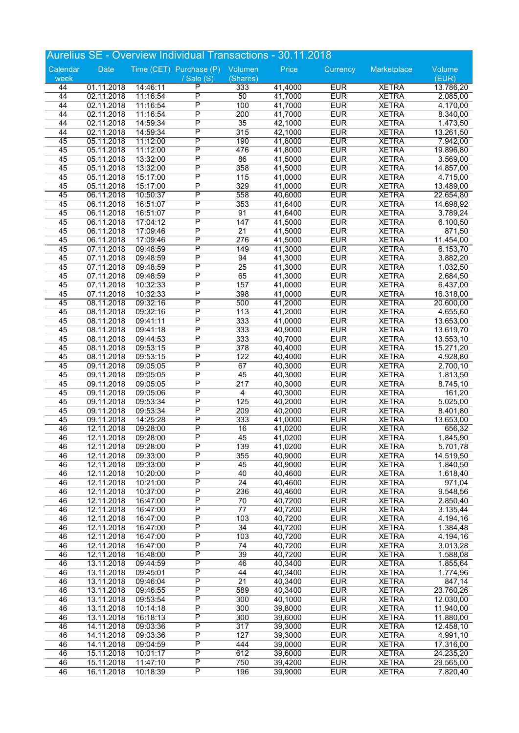|                 |                          |                      | Aurelius SE - Overview Individual Transactions - 30.11.2018 |                       |                    |                          |                              |                        |
|-----------------|--------------------------|----------------------|-------------------------------------------------------------|-----------------------|--------------------|--------------------------|------------------------------|------------------------|
| Calendar        | Date                     |                      | Time (CET) Purchase (P)                                     | Volumen               | Price              | Currency                 | Marketplace                  | Volume                 |
| week            |                          |                      | / Sale $(S)$                                                | (Shares)              |                    |                          |                              | (EUR)                  |
| 44              | 01.11.2018               | 14:46:11             | $\overline{\mathsf{P}}$                                     | 333                   | 41,4000            | <b>EUR</b>               | <b>XETRA</b>                 | 13.786,20              |
| 44              | 02.11.2018               | 11:16:54             | $\overline{\mathsf{P}}$<br>$\overline{P}$                   | $\overline{50}$       | 41,7000            | <b>EUR</b>               | <b>XETRA</b>                 | 2.085,00               |
| 44<br>44        | 02.11.2018<br>02.11.2018 | 11:16:54<br>11:16:54 | $\overline{P}$                                              | 100<br>200            | 41,7000<br>41,7000 | <b>EUR</b><br><b>EUR</b> | <b>XETRA</b><br><b>XETRA</b> | 4.170,00<br>8.340,00   |
| 44              | 02.11.2018               | 14:59:34             | $\overline{P}$                                              | 35                    | 42,1000            | <b>EUR</b>               | <b>XETRA</b>                 | 1.473,50               |
| 44              | 02.11.2018               | 14:59:34             | P                                                           | 315                   | 42,1000            | <b>EUR</b>               | <b>XETRA</b>                 | 13.261,50              |
| 45              | 05.11.2018               | 11:12:00             | $\overline{\mathsf{P}}$                                     | 190                   | 41,8000            | <b>EUR</b>               | <b>XETRA</b>                 | 7.942,00               |
| 45              | 05.11.2018               | 11:12:00             | $\overline{P}$                                              | 476                   | 41,8000            | <b>EUR</b>               | <b>XETRA</b>                 | 19.896,80              |
| 45              | 05.11.2018               | 13:32:00             | $\overline{P}$                                              | 86                    | 41,5000            | <b>EUR</b>               | <b>XETRA</b>                 | 3.569,00               |
| 45<br>45        | 05.11.2018<br>05.11.2018 | 13:32:00<br>15:17:00 | $\overline{P}$<br>$\overline{P}$                            | 358<br>115            | 41,5000<br>41,0000 | <b>EUR</b><br><b>EUR</b> | <b>XETRA</b><br><b>XETRA</b> | 14.857,00<br>4.715,00  |
| 45              | 05.11.2018               | 15:17:00             | $\overline{P}$                                              | 329                   | 41,0000            | <b>EUR</b>               | <b>XETRA</b>                 | 13.489,00              |
| $\overline{45}$ | 06.11.2018               | 10:50:37             | $\overline{\mathsf{P}}$                                     | 558                   | 40,6000            | <b>EUR</b>               | <b>XETRA</b>                 | 22.654,80              |
| 45              | 06.11.2018               | 16:51:07             | $\overline{P}$                                              | 353                   | 41,6400            | <b>EUR</b>               | <b>XETRA</b>                 | 14.698,92              |
| 45              | 06.11.2018               | 16:51:07             | $\overline{P}$                                              | 91                    | 41,6400            | <b>EUR</b>               | <b>XETRA</b>                 | 3.789,24               |
| 45              | 06.11.2018               | 17:04:12             | $\overline{P}$                                              | 147                   | 41,5000            | <b>EUR</b>               | <b>XETRA</b>                 | 6.100,50               |
| 45              | 06.11.2018               | 17:09:46             | $\overline{P}$                                              | 21                    | 41,5000            | <b>EUR</b>               | <b>XETRA</b>                 | 871,50                 |
| 45<br>45        | 06.11.2018<br>07.11.2018 | 17:09:46<br>09:48:59 | $\overline{P}$<br>$\overline{\mathsf{P}}$                   | 276<br>149            | 41,5000<br>41,3000 | <b>EUR</b><br><b>EUR</b> | <b>XETRA</b><br><b>XETRA</b> | 11.454,00<br>6.153,70  |
| 45              | 07.11.2018               | 09:48:59             | $\overline{P}$                                              | 94                    | 41,3000            | <b>EUR</b>               | <b>XETRA</b>                 | 3.882,20               |
| 45              | 07.11.2018               | 09:48:59             | $\overline{P}$                                              | 25                    | 41,3000            | <b>EUR</b>               | <b>XETRA</b>                 | 1.032,50               |
| 45              | 07.11.2018               | 09:48:59             | $\overline{P}$                                              | 65                    | 41,3000            | <b>EUR</b>               | <b>XETRA</b>                 | 2.684,50               |
| 45              | 07.11.2018               | 10:32:33             | $\overline{P}$                                              | 157                   | 41,0000            | <b>EUR</b>               | <b>XETRA</b>                 | 6.437,00               |
| 45              | 07.11.2018               | 10:32:33             | P                                                           | 398                   | 41,0000            | <b>EUR</b>               | <b>XETRA</b>                 | 16.318,00              |
| 45              | 08.11.2018               | 09:32:16             | P                                                           | 500                   | 41,2000            | <b>EUR</b>               | <b>XETRA</b>                 | 20.600,00              |
| 45              | 08.11.2018               | 09:32:16             | $\overline{P}$                                              | 113                   | 41,2000            | <b>EUR</b>               | <b>XETRA</b>                 | 4.655,60               |
| 45<br>45        | 08.11.2018<br>08.11.2018 | 09:41:11<br>09:41:18 | $\overline{P}$<br>$\overline{P}$                            | 333<br>333            | 41,0000<br>40,9000 | <b>EUR</b><br><b>EUR</b> | <b>XETRA</b><br><b>XETRA</b> | 13.653,00<br>13.619,70 |
| 45              | 08.11.2018               | 09:44:53             | $\overline{P}$                                              | 333                   | 40,7000            | <b>EUR</b>               | <b>XETRA</b>                 | 13.553,10              |
| 45              | 08.11.2018               | 09:53:15             | $\overline{P}$                                              | 378                   | 40,4000            | <b>EUR</b>               | <b>XETRA</b>                 | 15.271,20              |
| 45              | 08.11.2018               | 09:53:15             | $\overline{P}$                                              | 122                   | 40,4000            | <b>EUR</b>               | <b>XETRA</b>                 | 4.928,80               |
| 45              | 09.11.2018               | 09:05:05             | P                                                           | $\overline{67}$       | 40,3000            | <b>EUR</b>               | <b>XETRA</b>                 | 2.700,10               |
| 45              | 09.11.2018               | 09:05:05             | $\overline{P}$                                              | 45                    | 40,3000            | <b>EUR</b>               | <b>XETRA</b>                 | 1.813,50               |
| 45              | 09.11.2018               | 09:05:05             | $\overline{P}$                                              | 217                   | 40,3000            | <b>EUR</b>               | <b>XETRA</b>                 | 8.745,10               |
| 45<br>45        | 09.11.2018<br>09.11.2018 | 09:05:06<br>09:53:34 | $\overline{P}$<br>$\overline{P}$                            | $\overline{4}$<br>125 | 40,3000<br>40,2000 | <b>EUR</b><br><b>EUR</b> | <b>XETRA</b><br><b>XETRA</b> | 161,20<br>5.025,00     |
| 45              | 09.11.2018               | 09:53:34             | $\overline{P}$                                              | 209                   | 40,2000            | <b>EUR</b>               | <b>XETRA</b>                 | 8.401,80               |
| 45              | 09.11.2018               | 14:25:28             | $\overline{P}$                                              | 333                   | 41,0000            | <b>EUR</b>               | <b>XETRA</b>                 | 13.653,00              |
| 46              | 12.11.2018               | 09:28:00             | $\overline{\mathsf{P}}$                                     | 16                    | 41,0200            | <b>EUR</b>               | <b>XETRA</b>                 | 656,32                 |
| 46              | 12.11.2018               | 09:28:00             | $\overline{P}$                                              | 45                    | 41,0200            | <b>EUR</b>               | <b>XETRA</b>                 | 1.845,90               |
| 46              | 12.11.2018               | 09:28:00             | P                                                           | 139                   | 41,0200            | <b>EUR</b>               | <b>XETRA</b>                 | 5.701,78               |
| 46              | 12.11.2018               | 09:33:00             | P                                                           | 355                   | 40,9000            | <b>EUR</b>               | <b>XETRA</b>                 | 14.519,50              |
| 46<br>46        | 12.11.2018<br>12.11.2018 | 09:33:00<br>10:20:00 | P<br>$\overline{P}$                                         | 45<br>40              | 40,9000<br>40,4600 | <b>EUR</b><br><b>EUR</b> | <b>XETRA</b><br><b>XETRA</b> | 1.840,50<br>1.618,40   |
| 46              | 12.11.2018               | 10:21:00             | $\overline{P}$                                              | 24                    | 40,4600            | <b>EUR</b>               | <b>XETRA</b>                 | 971,04                 |
| 46              | 12.11.2018               | 10:37:00             | $\overline{P}$                                              | 236                   | 40,4600            | <b>EUR</b>               | <b>XETRA</b>                 | 9.548,56               |
| 46              | 12.11.2018               | 16:47:00             | $\overline{P}$                                              | 70                    | 40,7200            | <b>EUR</b>               | <b>XETRA</b>                 | 2.850,40               |
| 46              | 12.11.2018               | 16:47:00             | $\overline{P}$                                              | 77                    | 40,7200            | <b>EUR</b>               | <b>XETRA</b>                 | 3.135,44               |
| 46              | 12.11.2018               | 16:47:00             | P                                                           | 103                   | 40,7200            | <b>EUR</b>               | <b>XETRA</b>                 | 4.194, 16              |
| 46              | 12.11.2018               | 16:47:00             | P                                                           | 34                    | 40,7200            | <b>EUR</b>               | <b>XETRA</b>                 | 1.384,48               |
| 46<br>46        | 12.11.2018               | 16:47:00<br>16:47:00 | $\overline{P}$<br>$\overline{P}$                            | 103<br>74             | 40,7200<br>40,7200 | <b>EUR</b><br><b>EUR</b> | <b>XETRA</b><br><b>XETRA</b> | 4.194,16               |
| 46              | 12.11.2018<br>12.11.2018 | 16:48:00             | P                                                           | 39                    | 40,7200            | <b>EUR</b>               | <b>XETRA</b>                 | 3.013,28<br>1.588,08   |
| 46              | 13.11.2018               | 09:44:59             | $\overline{\mathsf{P}}$                                     | 46                    | 40,3400            | <b>EUR</b>               | <b>XETRA</b>                 | 1.855,64               |
| 46              | 13.11.2018               | 09:45:01             | $\overline{P}$                                              | 44                    | 40,3400            | <b>EUR</b>               | <b>XETRA</b>                 | 1.774,96               |
| 46              | 13.11.2018               | 09:46:04             | $\overline{P}$                                              | 21                    | 40,3400            | <b>EUR</b>               | <b>XETRA</b>                 | 847,14                 |
| 46              | 13.11.2018               | 09:46:55             | P                                                           | 589                   | 40,3400            | <b>EUR</b>               | <b>XETRA</b>                 | 23.760,26              |
| 46              | 13.11.2018               | 09:53:54             | $\overline{P}$                                              | 300                   | 40,1000            | <b>EUR</b>               | <b>XETRA</b>                 | 12.030,00              |
| 46              | 13.11.2018               | 10:14:18             | $\overline{P}$                                              | 300                   | 39,8000            | <b>EUR</b>               | <b>XETRA</b>                 | 11.940,00              |
| 46<br>46        | 13.11.2018<br>14.11.2018 | 16:18:13<br>09:03:36 | P<br>P                                                      | 300<br>317            | 39,6000<br>39,3000 | <b>EUR</b><br><b>EUR</b> | <b>XETRA</b><br><b>XETRA</b> | 11.880,00<br>12.458,10 |
| 46              | 14.11.2018               | 09:03:36             | $\overline{P}$                                              | 127                   | 39,3000            | <b>EUR</b>               | <b>XETRA</b>                 | 4.991,10               |
| 46              | 14.11.2018               | 09:04:59             | Ρ                                                           | 444                   | 39,0000            | <b>EUR</b>               | <b>XETRA</b>                 | 17.316,00              |
| 46              | 15.11.2018               | 10:01:17             | $\overline{P}$                                              | 612                   | 39,6000            | <b>EUR</b>               | <b>XETRA</b>                 | 24.235,20              |
| 46              | 15.11.2018               | 11:47:10             | $\overline{P}$                                              | 750                   | 39,4200            | <b>EUR</b>               | <b>XETRA</b>                 | 29.565,00              |
| 46              | 16.11.2018               | 10:18:39             | $\overline{\mathsf{P}}$                                     | 196                   | 39,9000            | <b>EUR</b>               | <b>XETRA</b>                 | 7.820,40               |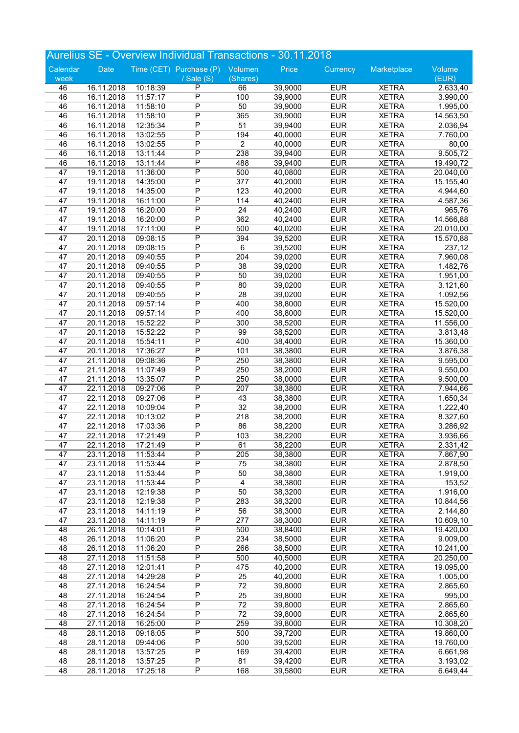|                       |                          |                      | <b>Aurelius SE - Overview Individual Transactions - 30.11.2018</b> |                |                    |                          |                              |                       |
|-----------------------|--------------------------|----------------------|--------------------------------------------------------------------|----------------|--------------------|--------------------------|------------------------------|-----------------------|
| Calendar              | <b>Date</b>              |                      | Time (CET) Purchase (P)                                            | Volumen        | Price              | Currency                 | Marketplace                  | Volume                |
| week                  |                          |                      | / Sale (S)                                                         | (Shares)       |                    |                          |                              | (EUR)                 |
| 46                    | 16.11.2018               | 10:18:39             | $\mathsf{P}$                                                       | 66             | 39,9000            | <b>EUR</b>               | <b>XETRA</b>                 | 2.633,40              |
| 46                    | 16.11.2018               | 11:57:17             | $\overline{P}$                                                     | 100            | 39,9000            | <b>EUR</b>               | <b>XETRA</b>                 | 3.990,00              |
| 46                    | 16.11.2018               | 11:58:10             | $\overline{P}$                                                     | 50             | 39,9000            | <b>EUR</b>               | <b>XETRA</b>                 | 1.995,00              |
| 46                    | 16.11.2018               | 11:58:10             | $\overline{P}$                                                     | 365            | 39,9000            | <b>EUR</b>               | <b>XETRA</b>                 | 14.563,50             |
| 46                    | 16.11.2018               | 12:35:34             | $\overline{P}$                                                     | 51             | 39,9400            | <b>EUR</b>               | <b>XETRA</b>                 | 2.036,94              |
| 46                    | 16.11.2018               | 13:02:55             | $\overline{P}$                                                     | 194            | 40,0000            | <b>EUR</b>               | <b>XETRA</b>                 | 7.760,00              |
| 46                    | 16.11.2018               | 13:02:55             | $\overline{P}$                                                     | $\overline{2}$ | 40,0000            | <b>EUR</b>               | <b>XETRA</b>                 | 80,00                 |
| 46                    | 16.11.2018               | 13:11:44             | $\overline{P}$                                                     | 238            | 39,9400            | <b>EUR</b>               | <b>XETRA</b>                 | 9.505,72              |
| 46                    | 16.11.2018               | 13:11:44             | P                                                                  | 488            | 39,9400            | <b>EUR</b>               | <b>XETRA</b>                 | 19.490,72             |
| $\overline{47}$<br>47 | 19.11.2018               | 11:36:00             | $\overline{\mathsf{P}}$<br>$\overline{P}$                          | 500            | 40,0800            | <b>EUR</b>               | <b>XETRA</b>                 | 20.040,00             |
| 47                    | 19.11.2018<br>19.11.2018 | 14:35:00<br>14:35:00 | $\overline{P}$                                                     | 377<br>123     | 40,2000<br>40,2000 | <b>EUR</b><br><b>EUR</b> | <b>XETRA</b><br><b>XETRA</b> | 15.155,40<br>4.944,60 |
| 47                    | 19.11.2018               | 16:11:00             | $\overline{P}$                                                     | 114            | 40,2400            | <b>EUR</b>               | <b>XETRA</b>                 | 4.587,36              |
| 47                    | 19.11.2018               | 16:20:00             | P                                                                  | 24             | 40,2400            | <b>EUR</b>               | <b>XETRA</b>                 | 965,76                |
| 47                    | 19.11.2018               | 16:20:00             | $\overline{P}$                                                     | 362            | 40,2400            | <b>EUR</b>               | <b>XETRA</b>                 | 14.566,88             |
| 47                    | 19.11.2018               | 17:11:00             | $\overline{P}$                                                     | 500            | 40,0200            | <b>EUR</b>               | <b>XETRA</b>                 | 20.010,00             |
| $\overline{47}$       | 20.11.2018               | 09:08:15             | $\overline{\mathsf{P}}$                                            | 394            | 39,5200            | <b>EUR</b>               | <b>XETRA</b>                 | 15.570,88             |
| 47                    | 20.11.2018               | 09:08:15             | $\overline{P}$                                                     | 6              | 39,5200            | <b>EUR</b>               | <b>XETRA</b>                 | 237,12                |
| 47                    | 20.11.2018               | 09:40:55             | P                                                                  | 204            | 39,0200            | <b>EUR</b>               | <b>XETRA</b>                 | 7.960,08              |
| 47                    | 20.11.2018               | 09:40:55             | $\overline{P}$                                                     | 38             | 39,0200            | <b>EUR</b>               | <b>XETRA</b>                 | 1.482,76              |
| 47                    | 20.11.2018               | 09:40:55             | $\overline{P}$                                                     | 50             | 39,0200            | <b>EUR</b>               | <b>XETRA</b>                 | 1.951,00              |
| 47                    | 20.11.2018               | 09:40:55             | $\overline{P}$                                                     | 80             | 39,0200            | <b>EUR</b>               | <b>XETRA</b>                 | 3.121,60              |
| 47                    | 20.11.2018               | 09:40:55             | $\overline{P}$                                                     | 28             | 39,0200            | <b>EUR</b>               | <b>XETRA</b>                 | 1.092,56              |
| 47                    | 20.11.2018               | 09:57:14             | P                                                                  | 400            | 38,8000            | <b>EUR</b>               | <b>XETRA</b>                 | 15.520,00             |
| 47                    | 20.11.2018               | 09:57:14             | $\overline{P}$                                                     | 400            | 38,8000            | <b>EUR</b>               | <b>XETRA</b>                 | 15.520,00             |
| 47                    | 20.11.2018               | 15:52:22             | $\overline{P}$                                                     | 300            | 38,5200            | <b>EUR</b>               | <b>XETRA</b>                 | 11.556,00             |
| 47                    | 20.11.2018               | 15:52:22             | $\overline{P}$                                                     | 99             | 38,5200            | <b>EUR</b>               | <b>XETRA</b>                 | 3.813,48              |
| 47                    | 20.11.2018               | 15:54:11             | $\overline{P}$                                                     | 400            | 38,4000            | <b>EUR</b>               | <b>XETRA</b>                 | 15.360,00             |
| 47                    | 20.11.2018               | 17:36:27             | P                                                                  | 101            | 38,3800            | <b>EUR</b>               | <b>XETRA</b>                 | 3.876,38              |
| $\overline{47}$       | 21.11.2018               | 09:08:36             | $\overline{P}$                                                     | 250            | 38,3800            | <b>EUR</b>               | <b>XETRA</b>                 | 9.595,00              |
| 47                    | 21.11.2018               | 11:07:49             | $\overline{P}$                                                     | 250            | 38,2000            | <b>EUR</b>               | <b>XETRA</b>                 | 9.550,00              |
| 47                    | 21.11.2018               | 13:35:07             | $\overline{P}$                                                     | 250            | 38,0000            | <b>EUR</b>               | <b>XETRA</b>                 | 9.500,00              |
| $\overline{47}$       | 22.11.2018               | 09:27:06             | $\overline{\mathsf{P}}$                                            | 207            | 38,3800            | <b>EUR</b>               | <b>XETRA</b>                 | 7.944,66              |
| 47                    | 22.11.2018               | 09:27:06             | $\overline{P}$                                                     | 43             | 38,3800            | <b>EUR</b>               | <b>XETRA</b>                 | 1.650,34              |
| 47                    | 22.11.2018               | 10:09:04             | $\overline{P}$                                                     | 32             | 38,2000            | <b>EUR</b>               | <b>XETRA</b>                 | 1.222,40              |
| 47<br>47              | 22.11.2018<br>22.11.2018 | 10:13:02<br>17:03:36 | $\overline{P}$<br>$\overline{P}$                                   | 218<br>86      | 38,2000<br>38,2200 | <b>EUR</b><br><b>EUR</b> | <b>XETRA</b>                 | 8.327,60              |
| 47                    | 22.11.2018               | 17:21:49             | $\overline{P}$                                                     | 103            | 38,2200            | <b>EUR</b>               | <b>XETRA</b><br><b>XETRA</b> | 3.286,92<br>3.936,66  |
| 47                    | 22.11.2018               | 17:21:49             | Ρ                                                                  | 61             | 38,2200            | <b>EUR</b>               | <b>XETRA</b>                 | 2.331,42              |
| 47                    | 23.11.2018               | 11:53:44             | $\overline{P}$                                                     | 205            | 38,3800            | <b>EUR</b>               | <b>XETRA</b>                 | 7.867,90              |
| 47                    | 23.11.2018               | 11:53:44             | P                                                                  | 75             | 38,3800            | <b>EUR</b>               | <b>XETRA</b>                 | 2.878,50              |
| 47                    | 23.11.2018               | 11:53:44             | $\overline{P}$                                                     | 50             | 38,3800            | <b>EUR</b>               | <b>XETRA</b>                 | 1.919,00              |
| 47                    | 23.11.2018               | 11:53:44             | $\overline{P}$                                                     | $\overline{4}$ | 38,3800            | <b>EUR</b>               | <b>XETRA</b>                 | 153,52                |
| 47                    | 23.11.2018               | 12:19:38             | P                                                                  | 50             | 38,3200            | <b>EUR</b>               | <b>XETRA</b>                 | 1.916,00              |
| 47                    | 23.11.2018               | 12:19:38             | $\overline{P}$                                                     | 283            | 38,3200            | <b>EUR</b>               | <b>XETRA</b>                 | 10.844,56             |
| 47                    | 23.11.2018               | 14:11:19             | $\overline{P}$                                                     | 56             | 38,3000            | <b>EUR</b>               | <b>XETRA</b>                 | 2.144,80              |
| 47                    | 23.11.2018               | 14:11:19             | $\overline{P}$                                                     | 277            | 38,3000            | <b>EUR</b>               | <b>XETRA</b>                 | 10.609,10             |
| 48                    | 26.11.2018               | 10:14:01             | $\overline{\mathsf{P}}$                                            | 500            | 38,8400            | <b>EUR</b>               | <b>XETRA</b>                 | 19.420,00             |
| 48                    | 26.11.2018               | 11:06:20             | $\overline{P}$                                                     | 234            | 38,5000            | <b>EUR</b>               | <b>XETRA</b>                 | 9.009,00              |
| 48                    | 26.11.2018               | 11:06:20             | $\overline{P}$                                                     | 266            | 38,5000            | <b>EUR</b>               | <b>XETRA</b>                 | 10.241,00             |
| $\overline{48}$       | 27.11.2018               | 11:51:58             | $\overline{\mathsf{P}}$                                            | 500            | 40,5000            | <b>EUR</b>               | <b>XETRA</b>                 | 20.250,00             |
| 48                    | 27.11.2018               | 12:01:41             | $\overline{P}$                                                     | 475            | 40,2000            | <b>EUR</b>               | <b>XETRA</b>                 | 19.095,00             |
| 48                    | 27.11.2018               | 14:29:28             | $\overline{P}$                                                     | 25             | 40,2000            | <b>EUR</b>               | <b>XETRA</b>                 | 1.005,00              |
| 48                    | 27.11.2018               | 16:24:54             | P                                                                  | 72             | 39,8000            | <b>EUR</b>               | <b>XETRA</b>                 | 2.865,60              |
| 48                    | 27.11.2018               | 16:24:54             | $\overline{P}$                                                     | 25             | 39,8000            | <b>EUR</b>               | <b>XETRA</b>                 | 995,00                |
| 48                    | 27.11.2018               | 16:24:54             | $\overline{P}$                                                     | 72             | 39,8000            | <b>EUR</b>               | <b>XETRA</b>                 | 2.865,60              |
| 48                    | 27.11.2018               | 16:24:54             | $\overline{P}$                                                     | 72             | 39,8000            | <b>EUR</b>               | <b>XETRA</b>                 | 2.865,60              |
| 48                    | 27.11.2018               | 16:25:00             | $\overline{P}$                                                     | 259            | 39,8000            | <b>EUR</b>               | <b>XETRA</b>                 | 10.308,20             |
| 48                    | 28.11.2018               | 09:18:05             | $\overline{\mathsf{P}}$                                            | 500            | 39,7200            | <b>EUR</b>               | <b>XETRA</b>                 | 19.860,00             |
| 48                    | 28.11.2018               | 09:44:06             | $\overline{P}$                                                     | 500            | 39,5200            | <b>EUR</b>               | <b>XETRA</b>                 | 19.760,00             |
| 48                    | 28.11.2018               | 13:57:25             | P<br>$\overline{P}$                                                | 169            | 39,4200            | <b>EUR</b>               | <b>XETRA</b>                 | 6.661,98              |
| 48                    | 28.11.2018               | 13:57:25             | $\overline{P}$                                                     | 81             | 39,4200            | <b>EUR</b>               | <b>XETRA</b>                 | 3.193,02              |
| 48                    | 28.11.2018               | 17:25:18             |                                                                    | 168            | 39,5800            | <b>EUR</b>               | <b>XETRA</b>                 | 6.649,44              |